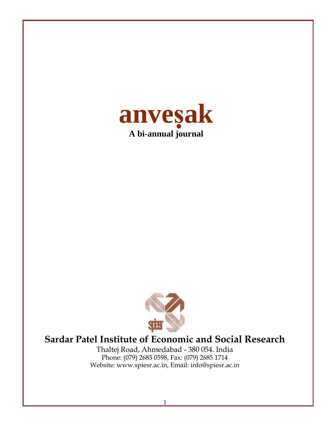



## **Sardar Patel Institute of Economic and Social Research**

Thaltej Road, Ahmedabad - 380 054. India Phone: (079) 2685 0598, Fax: (079) 2685 1714 Website: www.spiesr.ac.in, Email: info@spiesr.ac.in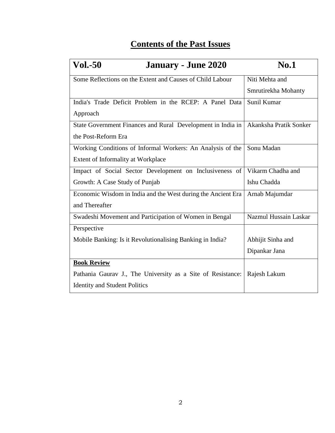## **Contents of the Past Issues**

| <b>Vol.-50</b><br><b>January - June 2020</b>                 | <b>No.1</b>            |
|--------------------------------------------------------------|------------------------|
| Some Reflections on the Extent and Causes of Child Labour    | Niti Mehta and         |
|                                                              | Smrutirekha Mohanty    |
| India's Trade Deficit Problem in the RCEP: A Panel Data      | Sunil Kumar            |
| Approach                                                     |                        |
| State Government Finances and Rural Development in India in  | Akanksha Pratik Sonker |
| the Post-Reform Era                                          |                        |
| Working Conditions of Informal Workers: An Analysis of the   | Sonu Madan             |
| Extent of Informality at Workplace                           |                        |
| Impact of Social Sector Development on Inclusiveness of      | Vikarm Chadha and      |
| Growth: A Case Study of Punjab                               | Ishu Chadda            |
| Economic Wisdom in India and the West during the Ancient Era | Arnab Majumdar         |
| and Thereafter                                               |                        |
| Swadeshi Movement and Participation of Women in Bengal       | Nazmul Hussain Laskar  |
| Perspective                                                  |                        |
| Mobile Banking: Is it Revolutionalising Banking in India?    | Abhijit Sinha and      |
|                                                              | Dipankar Jana          |
| <b>Book Review</b>                                           |                        |
| Pathania Gaurav J., The University as a Site of Resistance:  | Rajesh Lakum           |
| <b>Identity and Student Politics</b>                         |                        |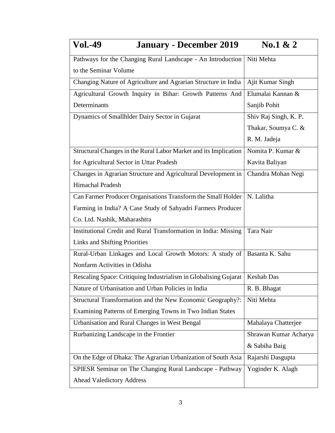| <b>Vol.-49</b><br><b>January - December 2019</b>                           | No.1 $\& 2$           |
|----------------------------------------------------------------------------|-----------------------|
| Pathways for the Changing Rural Landscape - An Introduction                | Niti Mehta            |
| to the Seminar Volume                                                      |                       |
| Changing Nature of Agriculture and Agrarian Structure in India             | Ajit Kumar Singh      |
| Agricultural Growth Inquiry in Bihar: Growth Patterns And                  | Elumalai Kannan &     |
| Determinants                                                               | Sanjib Pohit          |
| Dynamics of Smallhlder Dairy Sector in Gujarat                             | Shiv Raj Singh, K. P. |
|                                                                            | Thakar, Soumya C. &   |
|                                                                            | R. M. Jadeja          |
| Structural Changes in the Rural Labor Market and its Implication           | Nomita P. Kumar &     |
| for Agricultural Sector in Uttar Pradesh                                   | Kavita Baliyan        |
| Changes in Agrarian Structure and Agricultural Development in              | Chandra Mohan Negi    |
| Himachal Pradesh                                                           |                       |
| Can Farmer Producer Organisations Transform the Small Holder               | N. Lalitha            |
| Farming in India? A Case Study of Sahyadri Farmers Producer                |                       |
| Co. Ltd. Nashik, Maharashtra                                               |                       |
| Institutional Credit and Rural Transformation in India: Missing            | Tara Nair             |
| Links and Shifting Priorities                                              |                       |
| Rural-Urban Linkages and Local Growth Motors: A study of   Basanta K. Sahu |                       |
| Nonfarm Activities in Odisha                                               |                       |
| Rescaling Space: Critiquing Industrialism in Globalising Gujarat           | Keshab Das            |
| Nature of Urbanisation and Urban Policies in India                         | R. B. Bhagat          |
| Structural Transformation and the New Economic Geography?:                 | Niti Mehta            |
| Examining Patterns of Emerging Towns in Two Indian States                  |                       |
| Urbanisation and Rural Changes in West Bengal                              | Mahalaya Chatterjee   |
| Rurbanizing Landscape in the Frontier                                      | Shrawan Kumar Acharya |
|                                                                            | & Sabiha Baig         |
| On the Edge of Dhaka: The Agrarian Urbanization of South Asia              | Rajarshi Dasgupta     |
| SPIESR Seminar on The Changing Rural Landscape - Pathway                   | Yoginder K. Alagh     |
| <b>Ahead Valedictory Address</b>                                           |                       |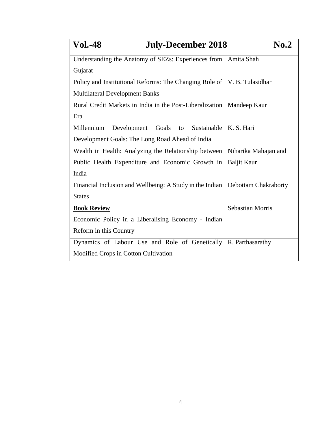| <b>Vol.-48</b><br><b>July-December 2018</b>                                     | No.2                    |
|---------------------------------------------------------------------------------|-------------------------|
| Understanding the Anatomy of SEZs: Experiences from                             | Amita Shah              |
| Gujarat                                                                         |                         |
| Policy and Institutional Reforms: The Changing Role of   V. B. Tulasidhar       |                         |
| <b>Multilateral Development Banks</b>                                           |                         |
| Rural Credit Markets in India in the Post-Liberalization                        | Mandeep Kaur            |
| Era                                                                             |                         |
| Millennium<br>Sustainable<br>Goals to<br>Development                            | K. S. Hari              |
| Development Goals: The Long Road Ahead of India                                 |                         |
| Wealth in Health: Analyzing the Relationship between                            | Niharika Mahajan and    |
| Public Health Expenditure and Economic Growth in                                | <b>Baljit Kaur</b>      |
| India                                                                           |                         |
| Financial Inclusion and Wellbeing: A Study in the Indian   Debottam Chakraborty |                         |
| <b>States</b>                                                                   |                         |
| <b>Book Review</b>                                                              | <b>Sebastian Morris</b> |
| Economic Policy in a Liberalising Economy - Indian                              |                         |
| Reform in this Country                                                          |                         |
| Dynamics of Labour Use and Role of Genetically                                  | R. Parthasarathy        |
| Modified Crops in Cotton Cultivation                                            |                         |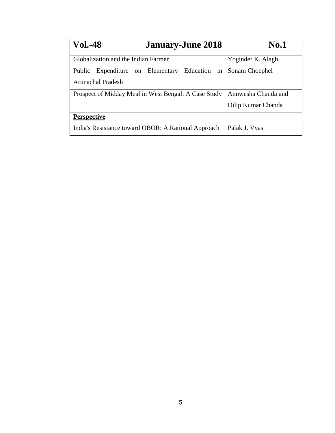| <b>Vol.-48</b>                      | <b>January-June 2018</b>                             | <b>No.1</b>         |
|-------------------------------------|------------------------------------------------------|---------------------|
| Globalization and the Indian Farmer |                                                      | Yoginder K. Alagh   |
| Public Expenditure on Elementary    | Education in                                         | Sonam Choephel      |
| Arunachal Pradesh                   |                                                      |                     |
|                                     | Prospect of Midday Meal in West Bengal: A Case Study | Annwesha Chanda and |
|                                     |                                                      | Dilip Kumar Chanda  |
| <b>Perspective</b>                  |                                                      |                     |
|                                     | India's Resistance toward OBOR: A Rational Approach  | Palak J. Vyas       |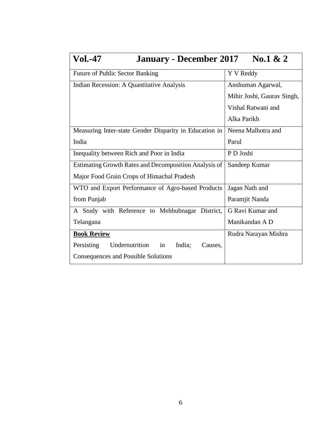| <b>Vol.-47</b><br><b>January - December 2017</b>        | No.1 $\& 2$                |
|---------------------------------------------------------|----------------------------|
| Future of Public Sector Banking                         | Y V Reddy                  |
| Indian Recession: A Quantitative Analysis               | Anshuman Agarwal,          |
|                                                         | Mihir Joshi, Gaurav Singh, |
|                                                         | Vishal Ratwani and         |
|                                                         | Alka Parikh                |
| Measuring Inter-state Gender Disparity in Education in  | Neena Malhotra and         |
| India                                                   | Parul                      |
| Inequality between Rich and Poor in India               | P D Joshi                  |
| Estimating Growth Rates and Decomposition Analysis of   | Sandeep Kumar              |
| Major Food Grain Crops of Himachal Pradesh              |                            |
| WTO and Export Performance of Agro-based Products       | Jagan Nath and             |
| from Punjab                                             | Paramjit Nanda             |
| A Study with Reference to Mehbubnagar District,         | G Ravi Kumar and           |
| Telangana                                               | Manikandan A D             |
| <b>Book Review</b>                                      | Rudra Narayan Mishra       |
| Undernutrition<br>in<br>India;<br>Persisting<br>Causes, |                            |
| Consequences and Possible Solutions                     |                            |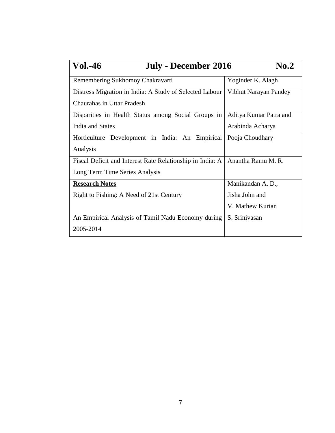| <b>Vol.-46</b><br><b>July - December 2016</b><br>$\bf{No.2}$ |                        |  |
|--------------------------------------------------------------|------------------------|--|
| Remembering Sukhomoy Chakravarti                             | Yoginder K. Alagh      |  |
| Distress Migration in India: A Study of Selected Labour      | Vibhut Narayan Pandey  |  |
| Chaurahas in Uttar Pradesh                                   |                        |  |
| Disparities in Health Status among Social Groups in          | Aditya Kumar Patra and |  |
| India and States                                             | Arabinda Acharya       |  |
| Horticulture Development in India: An Empirical              | Pooja Choudhary        |  |
| Analysis                                                     |                        |  |
| Fiscal Deficit and Interest Rate Relationship in India: A    | Anantha Ramu M. R.     |  |
| Long Term Time Series Analysis                               |                        |  |
| <b>Research Notes</b>                                        | Manikandan A. D.,      |  |
| Right to Fishing: A Need of 21st Century                     | Jisha John and         |  |
|                                                              | V. Mathew Kurian       |  |
| An Empirical Analysis of Tamil Nadu Economy during           | S. Srinivasan          |  |
| 2005-2014                                                    |                        |  |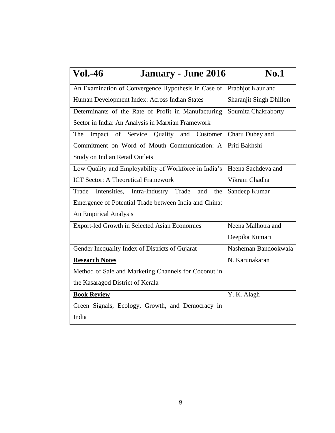| <b>Vol.-46</b><br><b>January - June 2016</b>             | No.1                    |
|----------------------------------------------------------|-------------------------|
| An Examination of Convergence Hypothesis in Case of      | Prabhjot Kaur and       |
| Human Development Index: Across Indian States            | Sharanjit Singh Dhillon |
| Determinants of the Rate of Profit in Manufacturing      | Soumita Chakraborty     |
| Sector in India: An Analysis in Marxian Framework        |                         |
| Impact of Service Quality and<br>The<br>Customer         | Charu Dubey and         |
| Commitment on Word of Mouth Communication: A             | Priti Bakhshi           |
| <b>Study on Indian Retail Outlets</b>                    |                         |
| Low Quality and Employability of Workforce in India's    | Heena Sachdeva and      |
| <b>ICT Sector: A Theoretical Framework</b>               | Vikram Chadha           |
| Trade<br>Intensities, Intra-Industry Trade<br>and<br>the | Sandeep Kumar           |
| Emergence of Potential Trade between India and China:    |                         |
| An Empirical Analysis                                    |                         |
| Export-led Growth in Selected Asian Economies            | Neena Malhotra and      |
|                                                          | Deepika Kumari          |
| Gender Inequality Index of Districts of Gujarat          | Nasheman Bandookwala    |
| <b>Research Notes</b>                                    | N. Karunakaran          |
| Method of Sale and Marketing Channels for Coconut in     |                         |
| the Kasaragod District of Kerala                         |                         |
| <b>Book Review</b>                                       | Y. K. Alagh             |
| Green Signals, Ecology, Growth, and Democracy in         |                         |
| India                                                    |                         |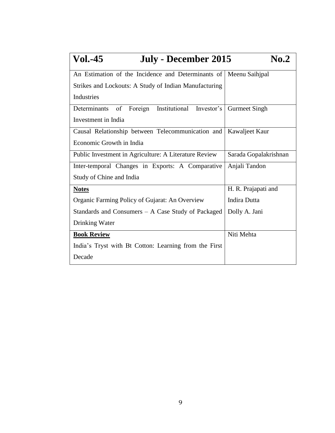| <b>Vol.-45</b><br>July - December 2015                | $\mathbf{N_0}.2$      |
|-------------------------------------------------------|-----------------------|
| An Estimation of the Incidence and Determinants of    | Meenu Saihjpal        |
| Strikes and Lockouts: A Study of Indian Manufacturing |                       |
| Industries                                            |                       |
| Institutional Investor's<br>Determinants of Foreign   | <b>Gurmeet Singh</b>  |
| Investment in India                                   |                       |
| Causal Relationship between Telecommunication and     | Kawaljeet Kaur        |
| Economic Growth in India                              |                       |
| Public Investment in Agriculture: A Literature Review | Sarada Gopalakrishnan |
| Inter-temporal Changes in Exports: A Comparative      | Anjali Tandon         |
| Study of Chine and India                              |                       |
| <b>Notes</b>                                          | H. R. Prajapati and   |
| Organic Farming Policy of Gujarat: An Overview        | <b>Indira Dutta</b>   |
| Standards and Consumers – A Case Study of Packaged    | Dolly A. Jani         |
| Drinking Water                                        |                       |
| <b>Book Review</b>                                    | Niti Mehta            |
| India's Tryst with Bt Cotton: Learning from the First |                       |
| Decade                                                |                       |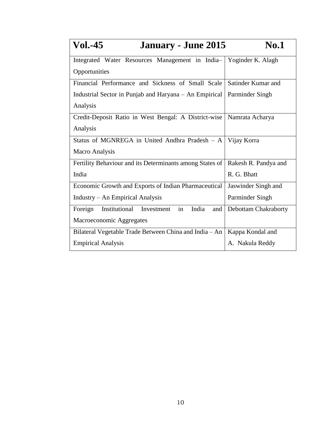| <b>Vol.-45</b><br><b>January - June 2015</b>              | <b>No.1</b>          |
|-----------------------------------------------------------|----------------------|
| Integrated Water Resources Management in India-           | Yoginder K. Alagh    |
| Opportunities                                             |                      |
| Financial Performance and Sickness of Small Scale         | Satinder Kumar and   |
| Industrial Sector in Punjab and Haryana – An Empirical    | Parminder Singh      |
| Analysis                                                  |                      |
| Credit-Deposit Ratio in West Bengal: A District-wise      | Namrata Acharya      |
| Analysis                                                  |                      |
| Status of MGNREGA in United Andhra Pradesh - A            | Vijay Korra          |
| Macro Analysis                                            |                      |
| Fertility Behaviour and its Determinants among States of  | Rakesh R. Pandya and |
| India                                                     | R. G. Bhatt          |
| Economic Growth and Exports of Indian Pharmaceutical      | Jaswinder Singh and  |
| Industry - An Empirical Analysis                          | Parminder Singh      |
| Institutional Investment<br>India<br>Foreign<br>in<br>and | Debottam Chakraborty |
| Macroeconomic Aggregates                                  |                      |
| Bilateral Vegetable Trade Between China and India - An    | Kappa Kondal and     |
| <b>Empirical Analysis</b>                                 | A. Nakula Reddy      |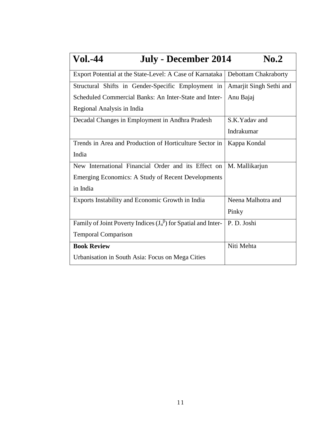| <b>Vol.-44</b><br>July - December 2014                                    | No.2                    |
|---------------------------------------------------------------------------|-------------------------|
| Export Potential at the State-Level: A Case of Karnataka                  | Debottam Chakraborty    |
| Structural Shifts in Gender-Specific Employment in                        | Amarjit Singh Sethi and |
| Scheduled Commercial Banks: An Inter-State and Inter-                     | Anu Bajaj               |
| Regional Analysis in India                                                |                         |
| Decadal Changes in Employment in Andhra Pradesh                           | S.K.Yadav and           |
|                                                                           | Indrakumar              |
| Trends in Area and Production of Horticulture Sector in                   | Kappa Kondal            |
| India                                                                     |                         |
| New International Financial Order and its Effect on                       | M. Mallikarjun          |
| Emerging Economics: A Study of Recent Developments                        |                         |
| in India                                                                  |                         |
| Exports Instability and Economic Growth in India                          | Neena Malhotra and      |
|                                                                           | Pinky                   |
| Family of Joint Poverty Indices $(J_\alpha^\beta)$ for Spatial and Inter- | P.D. Joshi              |
| <b>Temporal Comparison</b>                                                |                         |
| <b>Book Review</b>                                                        | Niti Mehta              |
| Urbanisation in South Asia: Focus on Mega Cities                          |                         |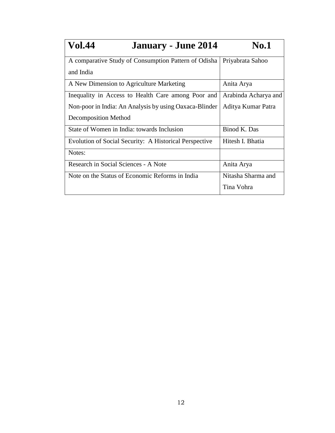| <b>Vol.44</b><br><b>January - June 2014</b>            | <b>No.1</b>          |
|--------------------------------------------------------|----------------------|
| A comparative Study of Consumption Pattern of Odisha   | Priyabrata Sahoo     |
| and India                                              |                      |
| A New Dimension to Agriculture Marketing               | Anita Arya           |
| Inequality in Access to Health Care among Poor and     | Arabinda Acharya and |
| Non-poor in India: An Analysis by using Oaxaca-Blinder | Aditya Kumar Patra   |
| <b>Decomposition Method</b>                            |                      |
| State of Women in India: towards Inclusion             | Binod K. Das         |
| Evolution of Social Security: A Historical Perspective | Hitesh I. Bhatia     |
| Notes:                                                 |                      |
| Research in Social Sciences - A Note                   | Anita Arya           |
| Note on the Status of Economic Reforms in India        | Nitasha Sharma and   |
|                                                        | Tina Vohra           |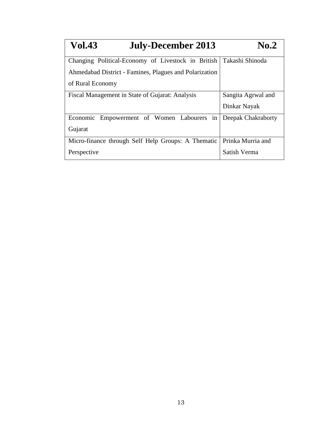| <b>Vol.43</b><br><b>July-December 2013</b>             | <b>No.2</b>        |
|--------------------------------------------------------|--------------------|
| Changing Political-Economy of Livestock in British     | Takashi Shinoda    |
| Ahmedabad District - Famines, Plagues and Polarization |                    |
| of Rural Economy                                       |                    |
| Fiscal Management in State of Gujarat: Analysis        | Sangita Agrwal and |
|                                                        | Dinkar Nayak       |
| Economic Empowerment of Women Labourers<br>in          | Deepak Chakraborty |
| Gujarat                                                |                    |
| Micro-finance through Self Help Groups: A Thematic     | Prinka Murria and  |
| Perspective                                            | Satish Verma       |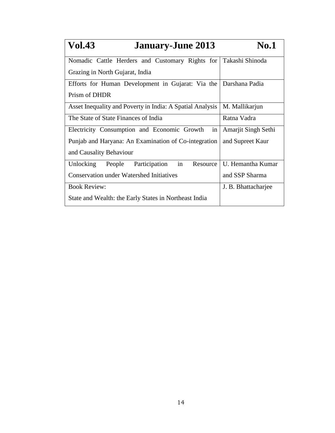| <b>Vol.43</b><br><b>January-June 2013</b>                 | <b>No.1</b>         |
|-----------------------------------------------------------|---------------------|
| Nomadic Cattle Herders and Customary Rights for           | Takashi Shinoda     |
| Grazing in North Gujarat, India                           |                     |
| Efforts for Human Development in Gujarat: Via the         | Darshana Padia      |
| Prism of DHDR                                             |                     |
| Asset Inequality and Poverty in India: A Spatial Analysis | M. Mallikarjun      |
| The State of State Finances of India                      | Ratna Vadra         |
| Electricity Consumption and Economic Growth<br>in         | Amarjit Singh Sethi |
| Punjab and Haryana: An Examination of Co-integration      | and Supreet Kaur    |
| and Causality Behaviour                                   |                     |
| in<br>Participation<br>Unlocking<br>Resource<br>People    | U. Hemantha Kumar   |
| <b>Conservation under Watershed Initiatives</b>           | and SSP Sharma      |
| <b>Book Review:</b>                                       | J. B. Bhattacharjee |
| State and Wealth: the Early States in Northeast India     |                     |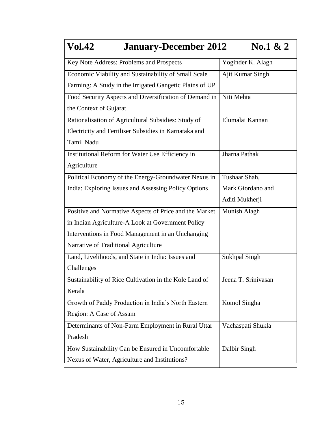| <b>Vol.42</b><br><b>January-December 2012</b>           | No.1 & 2             |  |
|---------------------------------------------------------|----------------------|--|
| Key Note Address: Problems and Prospects                | Yoginder K. Alagh    |  |
| Economic Viability and Sustainability of Small Scale    | Ajit Kumar Singh     |  |
| Farming: A Study in the Irrigated Gangetic Plains of UP |                      |  |
| Food Security Aspects and Diversification of Demand in  | Niti Mehta           |  |
| the Context of Gujarat                                  |                      |  |
| Rationalisation of Agricultural Subsidies: Study of     | Elumalai Kannan      |  |
| Electricity and Fertiliser Subsidies in Karnataka and   |                      |  |
| <b>Tamil Nadu</b>                                       |                      |  |
| Institutional Reform for Water Use Efficiency in        | Jharna Pathak        |  |
| Agriculture                                             |                      |  |
| Political Economy of the Energy-Groundwater Nexus in    | Tushaar Shah,        |  |
| India: Exploring Issues and Assessing Policy Options    | Mark Giordano and    |  |
|                                                         | Aditi Mukherji       |  |
| Positive and Normative Aspects of Price and the Market  | Munish Alagh         |  |
| in Indian Agriculture-A Look at Government Policy       |                      |  |
| Interventions in Food Management in an Unchanging       |                      |  |
| Narrative of Traditional Agriculture                    |                      |  |
| Land, Livelihoods, and State in India: Issues and       | <b>Sukhpal Singh</b> |  |
| Challenges                                              |                      |  |
| Sustainability of Rice Cultivation in the Kole Land of  | Jeena T. Srinivasan  |  |
| Kerala                                                  |                      |  |
| Growth of Paddy Production in India's North Eastern     | Komol Singha         |  |
| Region: A Case of Assam                                 |                      |  |
| Determinants of Non-Farm Employment in Rural Uttar      | Vachaspati Shukla    |  |
| Pradesh                                                 |                      |  |
| How Sustainability Can be Ensured in Uncomfortable      | Dalbir Singh         |  |
| Nexus of Water, Agriculture and Institutions?           |                      |  |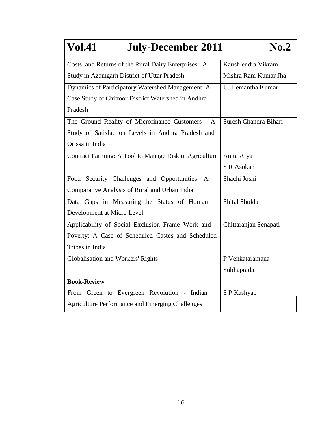| <b>Vol.41</b><br><b>July-December 2011</b>             | $\bf{No.2}$           |
|--------------------------------------------------------|-----------------------|
| Costs and Returns of the Rural Dairy Enterprises: A    | Kaushlendra Vikram    |
| Study in Azamgarh District of Uttar Pradesh            | Mishra Ram Kumar Jha  |
| Dynamics of Participatory Watershed Management: A      | U. Hemantha Kumar     |
| Case Study of Chittoor District Watershed in Andhra    |                       |
| Pradesh                                                |                       |
| The Ground Reality of Microfinance Customers - A       | Suresh Chandra Bihari |
| Study of Satisfaction Levels in Andhra Pradesh and     |                       |
| Orissa in India                                        |                       |
| Contract Farming: A Tool to Manage Risk in Agriculture | Anita Arya            |
|                                                        | S R Asokan            |
| Food Security Challenges and Opportunities: A          | Shachi Joshi          |
| Comparative Analysis of Rural and Urban India          |                       |
| Data Gaps in Measuring the Status of Human             | Shital Shukla         |
| Development at Micro Level                             |                       |
| Applicability of Social Exclusion Frame Work and       | Chittaranjan Senapati |
| Poverty: A Case of Scheduled Castes and Scheduled      |                       |
| Tribes in India                                        |                       |
| Globalisation and Workers' Rights                      | P Venkataramana       |
|                                                        | Subhaprada            |
| <b>Book-Review</b>                                     |                       |
| From Green to Evergreen Revolution - Indian            | S P Kashyap           |
| <b>Agriculture Performance and Emerging Challenges</b> |                       |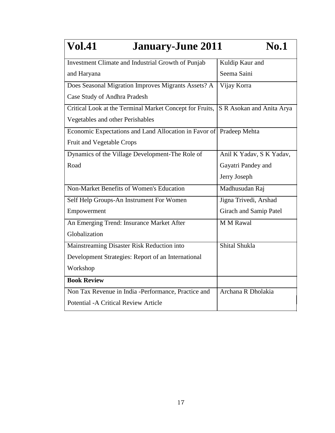| <b>Vol.41</b><br><b>January-June 2011</b><br><b>No.1</b>            |                           |  |
|---------------------------------------------------------------------|---------------------------|--|
| Investment Climate and Industrial Growth of Punjab                  | Kuldip Kaur and           |  |
| and Haryana                                                         | Seema Saini               |  |
| Does Seasonal Migration Improves Migrants Assets? A                 | Vijay Korra               |  |
| Case Study of Andhra Pradesh                                        |                           |  |
| Critical Look at the Terminal Market Concept for Fruits,            | S R Asokan and Anita Arya |  |
| Vegetables and other Perishables                                    |                           |  |
| Economic Expectations and Land Allocation in Favor of Pradeep Mehta |                           |  |
| <b>Fruit and Vegetable Crops</b>                                    |                           |  |
| Dynamics of the Village Development-The Role of                     | Anil K Yadav, S K Yadav,  |  |
| Road                                                                | Gayatri Pandey and        |  |
|                                                                     | Jerry Joseph              |  |
| Non-Market Benefits of Women's Education                            | Madhusudan Raj            |  |
| Self Help Groups-An Instrument For Women                            | Jigna Trivedi, Arshad     |  |
| Empowerment                                                         | Girach and Samip Patel    |  |
| An Emerging Trend: Insurance Market After                           | <b>M M Rawal</b>          |  |
| Globalization                                                       |                           |  |
| Mainstreaming Disaster Risk Reduction into                          | Shital Shukla             |  |
| Development Strategies: Report of an International                  |                           |  |
| Workshop                                                            |                           |  |
| <b>Book Review</b>                                                  |                           |  |
| Non Tax Revenue in India -Performance, Practice and                 | Archana R Dholakia        |  |
| <b>Potential - A Critical Review Article</b>                        |                           |  |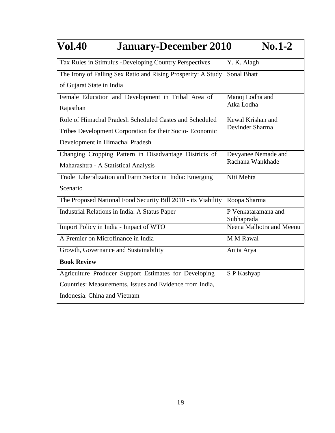| <b>Vol.40</b><br><b>January-December 2010</b><br>$No.1-2$     |                                        |  |
|---------------------------------------------------------------|----------------------------------------|--|
| Tax Rules in Stimulus -Developing Country Perspectives        | Y. K. Alagh                            |  |
| The Irony of Falling Sex Ratio and Rising Prosperity: A Study | <b>Sonal Bhatt</b>                     |  |
| of Gujarat State in India                                     |                                        |  |
| Female Education and Development in Tribal Area of            | Manoj Lodha and                        |  |
| Rajasthan                                                     | Atka Lodha                             |  |
| Role of Himachal Pradesh Scheduled Castes and Scheduled       | Kewal Krishan and                      |  |
| Tribes Development Corporation for their Socio- Economic      | Devinder Sharma                        |  |
| Development in Himachal Pradesh                               |                                        |  |
| Changing Cropping Pattern in Disadvantage Districts of        | Devyanee Nemade and                    |  |
| Maharashtra - A Statistical Analysis                          | Rachana Wankhade                       |  |
| Trade Liberalization and Farm Sector in India: Emerging       | Niti Mehta                             |  |
| Scenario                                                      |                                        |  |
| The Proposed National Food Security Bill 2010 - its Viability | Roopa Sharma                           |  |
| Industrial Relations in India: A Status Paper                 | P Venkataramana and                    |  |
| Import Policy in India - Impact of WTO                        | Subhaprada<br>Neena Malhotra and Meenu |  |
| A Premier on Microfinance in India                            | <b>M M Rawal</b>                       |  |
| Growth, Governance and Sustainability                         | Anita Arya                             |  |
| <b>Book Review</b>                                            |                                        |  |
| Agriculture Producer Support Estimates for Developing         | S P Kashyap                            |  |
| Countries: Measurements, Issues and Evidence from India,      |                                        |  |
| Indonesia. China and Vietnam                                  |                                        |  |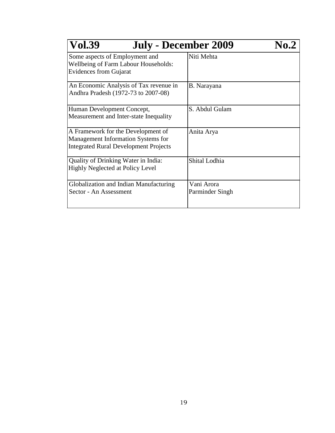| <b>Vol.39</b><br><b>July - December 2009</b>                                                                             | No.2                          |
|--------------------------------------------------------------------------------------------------------------------------|-------------------------------|
| Some aspects of Employment and<br><b>Wellbeing of Farm Labour Households:</b><br><b>Evidences from Gujarat</b>           | Niti Mehta                    |
| An Economic Analysis of Tax revenue in<br>Andhra Pradesh (1972-73 to 2007-08)                                            | B. Narayana                   |
| Human Development Concept,<br>Measurement and Inter-state Inequality                                                     | S. Abdul Gulam                |
| A Framework for the Development of<br>Management Information Systems for<br><b>Integrated Rural Development Projects</b> | Anita Arya                    |
| Quality of Drinking Water in India:<br><b>Highly Neglected at Policy Level</b>                                           | Shital Lodhia                 |
| Globalization and Indian Manufacturing<br>Sector - An Assessment                                                         | Vani Arora<br>Parminder Singh |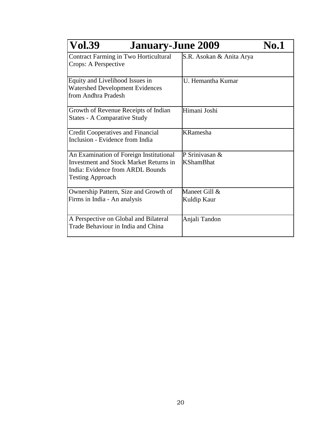| <b>Vol.39</b><br><b>January-June 2009</b>                                                                                                               |                                    | <b>No.1</b> |
|---------------------------------------------------------------------------------------------------------------------------------------------------------|------------------------------------|-------------|
| <b>Contract Farming in Two Horticultural</b><br>Crops: A Perspective                                                                                    | S.R. Asokan & Anita Arya           |             |
| Equity and Livelihood Issues in<br><b>Watershed Development Evidences</b><br>from Andhra Pradesh                                                        | U. Hemantha Kumar                  |             |
| Growth of Revenue Receipts of Indian<br><b>States - A Comparative Study</b>                                                                             | Himani Joshi                       |             |
| <b>Credit Cooperatives and Financial</b><br>Inclusion - Evidence from India                                                                             | <b>KRamesha</b>                    |             |
| An Examination of Foreign Institutional<br><b>Investment and Stock Market Returns in</b><br>India: Evidence from ARDL Bounds<br><b>Testing Approach</b> | P Srinivasan &<br><b>KShamBhat</b> |             |
| Ownership Pattern, Size and Growth of<br>Firms in India - An analysis                                                                                   | Maneet Gill &<br>Kuldip Kaur       |             |
| A Perspective on Global and Bilateral<br>Trade Behaviour in India and China                                                                             | Anjali Tandon                      |             |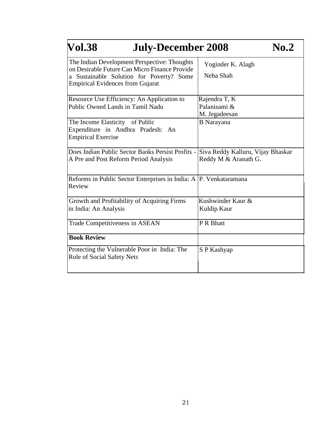| <b>Vol.38</b><br><b>July-December 2008</b>                                                                                                                                           |                                                           |
|--------------------------------------------------------------------------------------------------------------------------------------------------------------------------------------|-----------------------------------------------------------|
| The Indian Development Perspective: Thoughts<br>on Desirable Future Can Micro Finance Provide<br>a Sustainable Solution for Poverty? Some<br><b>Empirical Evidences from Gujarat</b> | Yoginder K. Alagh<br>Neha Shah                            |
| Resource Use Efficiency: An Application to<br>Public Owned Lands in Tamil Nadu                                                                                                       | Rajendra T, K<br>Palanisami &<br>M. Jegadeesan            |
| The Income Elasticity of Public<br>Expenditure in Andhra Pradesh: An<br><b>Empirical Exercise</b>                                                                                    | <b>B</b> Narayana                                         |
| Does Indian Public Sector Banks Persist Profits -<br>A Pre and Post Reform Period Analysis                                                                                           | Siva Reddy Kalluru, Vijay Bhaskar<br>Reddy M & Aranath G. |
| Reforms in Public Sector Enterprises in India: A P. Venkataramana<br>Review                                                                                                          |                                                           |
| Growth and Profitability of Acquiring Firms<br>in India: An Analysis                                                                                                                 | Kushwinder Kaur &<br>Kuldip Kaur                          |
| Trade Competitiveness in ASEAN                                                                                                                                                       | P R Bhatt                                                 |
| <b>Book Review</b>                                                                                                                                                                   |                                                           |
| Protecting the Vulnerable Poor in India: The<br>Role of Social Safety Nets                                                                                                           | S P Kashyap                                               |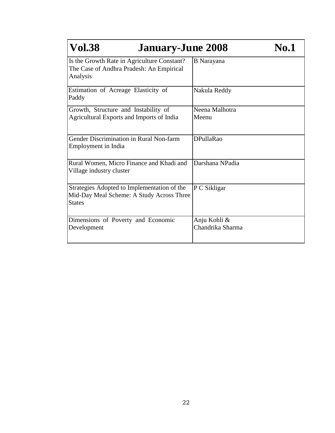| <b>Vol.38</b><br><b>January-June 2008</b>                                                                 |                                  | <b>No.1</b> |
|-----------------------------------------------------------------------------------------------------------|----------------------------------|-------------|
| Is the Growth Rate in Agriculture Constant?<br>The Case of Andhra Pradesh: An Empirical<br>Analysis       | <b>B</b> Narayana                |             |
| Estimation of Acreage Elasticity of<br>Paddy                                                              | Nakula Reddy                     |             |
| Growth, Structure and Instability of<br>Agricultural Exports and Imports of India                         | Neena Malhotra<br>Meenu          |             |
| Gender Discrimination in Rural Non-farm<br>Employment in India                                            | <b>DPullaRao</b>                 |             |
| Rural Women, Micro Finance and Khadi and<br>Village industry cluster                                      | Darshana NPadia                  |             |
| Strategies Adopted to Implementation of the<br>Mid-Day Meal Scheme: A Study Across Three<br><b>States</b> | P C Sikligar                     |             |
| Dimensions of Poverty and Economic<br>Development                                                         | Anju Kohli &<br>Chandrika Sharma |             |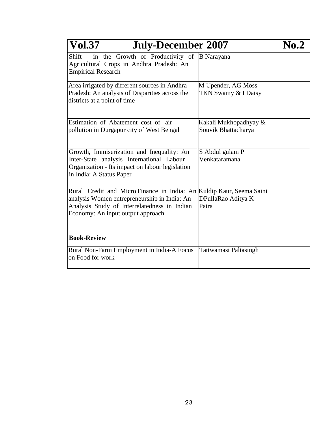| <b>Vol.37</b><br><b>July-December 2007</b>                                                                                                                                                                |                                              | No.2 |
|-----------------------------------------------------------------------------------------------------------------------------------------------------------------------------------------------------------|----------------------------------------------|------|
| in the Growth of Productivity of<br>Shift<br>Agricultural Crops in Andhra Pradesh: An<br><b>Empirical Research</b>                                                                                        | <b>B</b> Narayana                            |      |
| Area irrigated by different sources in Andhra<br>Pradesh: An analysis of Disparities across the<br>districts at a point of time                                                                           | M Upender, AG Moss<br>TKN Swamy & I Daisy    |      |
| Estimation of Abatement cost of air<br>pollution in Durgapur city of West Bengal                                                                                                                          | Kakali Mukhopadhyay &<br>Souvik Bhattacharya |      |
| Growth, Immiserization and Inequality: An<br>Inter-State analysis International Labour<br>Organization - Its impact on labour legislation<br>in India: A Status Paper                                     | S Abdul gulam P<br>Venkataramana             |      |
| Rural Credit and Micro Finance in India: An Kuldip Kaur, Seema Saini<br>analysis Women entrepreneurship in India: An<br>Analysis Study of Interrelatedness in Indian<br>Economy: An input output approach | DPullaRao Aditya K<br>Patra                  |      |
| <b>Book-Review</b>                                                                                                                                                                                        |                                              |      |
| Rural Non-Farm Employment in India-A Focus<br>on Food for work                                                                                                                                            | Tattwamasi Paltasingh                        |      |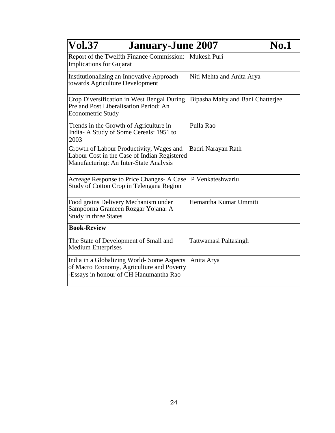| <b>Vol.37</b><br><b>January-June 2007</b>                                                                                          | <b>No.1</b>                       |
|------------------------------------------------------------------------------------------------------------------------------------|-----------------------------------|
| Report of the Twelfth Finance Commission:<br><b>Implications for Gujarat</b>                                                       | Mukesh Puri                       |
| Institutionalizing an Innovative Approach<br>towards Agriculture Development                                                       | Niti Mehta and Anita Arya         |
| Crop Diversification in West Bengal During<br>Pre and Post Liberalisation Period: An<br><b>Econometric Study</b>                   | Bipasha Maity and Bani Chatterjee |
| Trends in the Growth of Agriculture in<br>India- A Study of Some Cereals: 1951 to<br>2003                                          | Pulla Rao                         |
| Growth of Labour Productivity, Wages and<br>Labour Cost in the Case of Indian Registered<br>Manufacturing: An Inter-State Analysis | Badri Narayan Rath                |
| Acreage Response to Price Changes-A Case<br>Study of Cotton Crop in Telengana Region                                               | P Venkateshwarlu                  |
| Food grains Delivery Mechanism under<br>Sampoorna Grameen Rozgar Yojana: A<br><b>Study in three States</b>                         | Hemantha Kumar Ummiti             |
| <b>Book-Review</b>                                                                                                                 |                                   |
| The State of Development of Small and<br><b>Medium Enterprises</b>                                                                 | Tattwamasi Paltasingh             |
| India in a Globalizing World-Some Aspects<br>of Macro Economy, Agriculture and Poverty<br>-Essays in honour of CH Hanumantha Rao   | Anita Arya                        |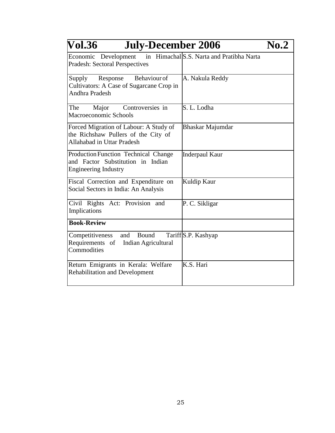| Vol.36<br><b>July-December 2006</b>                                                                         |                     | $\bf{No.2}$ |
|-------------------------------------------------------------------------------------------------------------|---------------------|-------------|
| Economic Development in Himachal S.S. Narta and Pratibha Narta<br><b>Pradesh: Sectoral Perspectives</b>     |                     |             |
| Behaviour of<br>Supply<br>Response<br>Cultivators: A Case of Sugarcane Crop in<br><b>Andhra Pradesh</b>     | A. Nakula Reddy     |             |
| The<br>Controversies in<br>Major<br>Macroeconomic Schools                                                   | S. L. Lodha         |             |
| Forced Migration of Labour: A Study of<br>the Richshaw Pullers of the City of<br>Allahabad in Uttar Pradesh | Bhaskar Majumdar    |             |
| Production Function Technical Change<br>and Factor Substitution in Indian<br><b>Engineering Industry</b>    | Inderpaul Kaur      |             |
| Fiscal Correction and Expenditure on<br>Social Sectors in India: An Analysis                                | Kuldip Kaur         |             |
| Civil Rights Act: Provision and<br>Implications                                                             | P. C. Sikligar      |             |
| <b>Book-Review</b>                                                                                          |                     |             |
| Competitiveness<br>and<br>Bound<br>Requirements of<br>Indian Agricultural<br>Commodities                    | Tariff S.P. Kashyap |             |
| Return Emigrants in Kerala: Welfare<br><b>Rehabilitation and Development</b>                                | K.S. Hari           |             |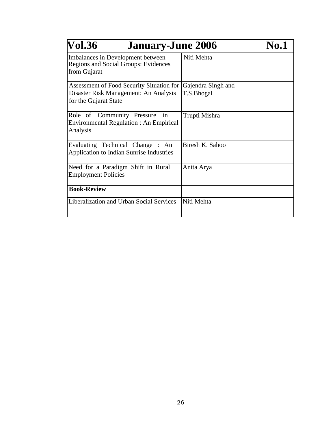| <b>Vol.36</b><br><b>January-June 2006</b>                                                        |                                  | <b>No.1</b> |
|--------------------------------------------------------------------------------------------------|----------------------------------|-------------|
| Imbalances in Development between<br><b>Regions and Social Groups: Evidences</b><br>from Gujarat | Niti Mehta                       |             |
| Assessment of Food Security Situation for<br>Disaster Risk Management: An Analysis               | Gajendra Singh and<br>T.S.Bhogal |             |
| for the Gujarat State                                                                            |                                  |             |
| Role of Community Pressure<br>in<br><b>Environmental Regulation: An Empirical</b><br>Analysis    | Trupti Mishra                    |             |
| Evaluating Technical Change : An<br><b>Application to Indian Sunrise Industries</b>              | Biresh K. Sahoo                  |             |
| Need for a Paradigm Shift in Rural<br><b>Employment Policies</b>                                 | Anita Arya                       |             |
| <b>Book-Review</b>                                                                               |                                  |             |
| Liberalization and Urban Social Services                                                         | Niti Mehta                       |             |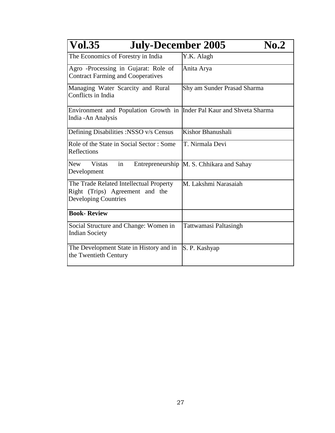| <b>Vol.35</b><br><b>July-December 2005</b>                                                                | $\bf{No.2}$                               |
|-----------------------------------------------------------------------------------------------------------|-------------------------------------------|
| The Economics of Forestry in India                                                                        | Y.K. Alagh                                |
| Agro -Processing in Gujarat: Role of<br><b>Contract Farming and Cooperatives</b>                          | Anita Arya                                |
| Managing Water Scarcity and Rural<br>Conflicts in India                                                   | Shy am Sunder Prasad Sharma               |
| Environment and Population Growth in  Inder Pal Kaur and Shveta Sharma<br>India - An Analysis             |                                           |
| Defining Disabilities :NSSO v/s Census                                                                    | Kishor Bhanushali                         |
| Role of the State in Social Sector: Some<br>Reflections                                                   | T. Nirmala Devi                           |
| <b>New</b><br><b>Vistas</b><br>in<br>Development                                                          | Entrepreneurship M. S. Chhikara and Sahay |
| The Trade Related Intellectual Property<br>Right (Trips) Agreement and the<br><b>Developing Countries</b> | M. Lakshmi Narasaiah                      |
| <b>Book-Review</b>                                                                                        |                                           |
| Social Structure and Change: Women in<br><b>Indian Society</b>                                            | <b>Tattwamasi Paltasingh</b>              |
| The Development State in History and in<br>the Twentieth Century                                          | S. P. Kashyap                             |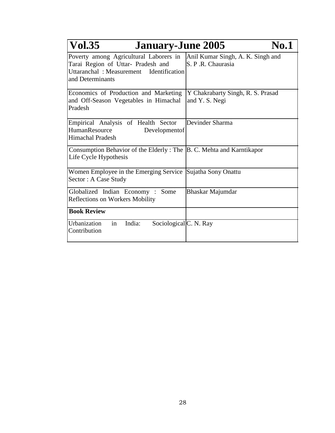| <b>Vol.35</b><br><b>January-June 2005</b>                                                                                                   | <b>No.1</b>                                            |
|---------------------------------------------------------------------------------------------------------------------------------------------|--------------------------------------------------------|
| Poverty among Agricultural Laborers in<br>Tarai Region of Uttar- Pradesh and<br>Uttaranchal: Measurement Identification<br>and Determinants | Anil Kumar Singh, A. K. Singh and<br>S. P.R. Chaurasia |
| Economics of Production and Marketing<br>and Off-Season Vegetables in Himachal<br>Pradesh                                                   | Y Chakrabarty Singh, R. S. Prasad<br>and Y. S. Negi    |
| Empirical Analysis of Health Sector<br>HumanResource<br>Developmentof<br><b>Himachal Pradesh</b>                                            | Devinder Sharma                                        |
| Consumption Behavior of the Elderly: The  B. C. Mehta and Karntikapor<br>Life Cycle Hypothesis                                              |                                                        |
| Women Employee in the Emerging Service Sujatha Sony Onattu<br>Sector: A Case Study                                                          |                                                        |
| Globalized Indian Economy: Some<br><b>Reflections on Workers Mobility</b>                                                                   | Bhaskar Majumdar                                       |
| <b>Book Review</b>                                                                                                                          |                                                        |
| Urbanization<br>India:<br>Sociological C. N. Ray<br>in<br>Contribution                                                                      |                                                        |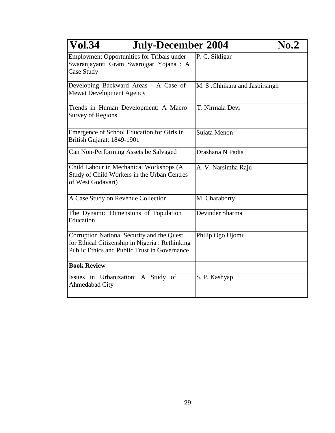| <b>Vol.34</b><br><b>July-December 2004</b>                                                                                                          | $\bf No.2$                     |
|-----------------------------------------------------------------------------------------------------------------------------------------------------|--------------------------------|
| <b>Employment Opportunities for Tribals under</b><br>Swaranjayanti Gram Swarojgar Yojana : A<br>Case Study                                          | P. C. Sikligar                 |
| Developing Backward Areas - A Case of<br><b>Mewat Development Agency</b>                                                                            | M. S .Chhikara and Jasbirsingh |
| Trends in Human Development: A Macro<br><b>Survey of Regions</b>                                                                                    | T. Nirmala Devi                |
| Emergence of School Education for Girls in<br>British Gujarat: 1849-1901                                                                            | Sujata Menon                   |
| Can Non-Performing Assets be Salvaged                                                                                                               | Drashana N Padia               |
| Child Labour in Mechanical Workshops (A<br>Study of Child Workers in the Urban Centres<br>of West Godavari)                                         | A. V. Narsimha Raju            |
| A Case Study on Revenue Collection                                                                                                                  | M. Charaborty                  |
| The Dynamic Dimensions of Population<br>Education                                                                                                   | Devinder Sharma                |
| Corruption National Security and the Quest<br>for Ethical Citizenship in Nigeria: Rethinking<br><b>Public Ethics and Public Trust in Governance</b> | Philip Ogo Ujomu               |
| <b>Book Review</b>                                                                                                                                  |                                |
| Issues in Urbanization: A Study of<br>Ahmedabad City                                                                                                | S. P. Kashyap                  |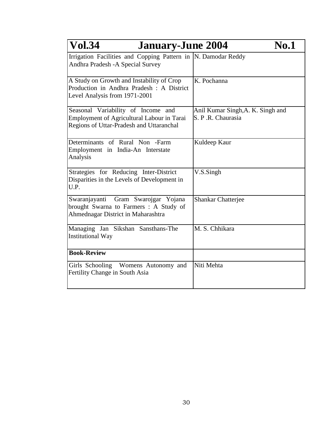| <b>Vol.34</b><br><b>January-June 2004</b>                                                                                           | No.1                                                   |
|-------------------------------------------------------------------------------------------------------------------------------------|--------------------------------------------------------|
| Irrigation Facilities and Copping Pattern in  N. Damodar Reddy<br>Andhra Pradesh - A Special Survey                                 |                                                        |
| A Study on Growth and Instability of Crop<br>Production in Andhra Pradesh : A District<br>Level Analysis from 1971-2001             | K. Pochanna                                            |
| Seasonal Variability of Income and<br><b>Employment of Agricultural Labour in Tarai</b><br>Regions of Uttar-Pradesh and Uttaranchal | Anil Kumar Singh, A. K. Singh and<br>S. P.R. Chaurasia |
| Determinants of Rural Non -Farm<br>Employment in India-An Interstate<br>Analysis                                                    | Kuldeep Kaur                                           |
| Strategies for Reducing Inter-District<br>Disparities in the Levels of Development in<br>U.P.                                       | V.S.Singh                                              |
| Gram Swarojgar Yojana<br>Swaranjayanti<br>brought Swarna to Farmers: A Study of<br>Ahmednagar District in Maharashtra               | <b>Shankar Chatterjee</b>                              |
| Managing Jan Sikshan Sansthans-The<br><b>Institutional Way</b>                                                                      | M. S. Chhikara                                         |
| <b>Book-Review</b>                                                                                                                  |                                                        |
| Girls Schooling Womens Autonomy and<br>Fertility Change in South Asia                                                               | Niti Mehta                                             |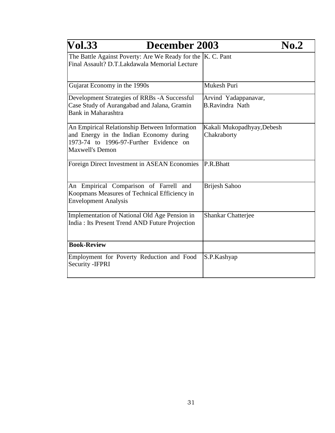| <b>Vol.33</b><br>December 2003                                                                                                                               | No.2                                           |
|--------------------------------------------------------------------------------------------------------------------------------------------------------------|------------------------------------------------|
| The Battle Against Poverty: Are We Ready for the  K. C. Pant<br>Final Assault? D.T.Lakdawala Memorial Lecture                                                |                                                |
| Gujarat Economy in the 1990s                                                                                                                                 | Mukesh Puri                                    |
| Development Strategies of RRBs -A Successful<br>Case Study of Aurangabad and Jalana, Gramin<br>Bank in Maharashtra                                           | Arvind Yadappanavar,<br><b>B.Ravindra Nath</b> |
| An Empirical Relationship Between Information<br>and Energy in the Indian Economy during<br>1973-74 to 1996-97-Further Evidence on<br><b>Maxwell's Demon</b> | Kakali Mukopadhyay, Debesh<br>Chakraborty      |
| Foreign Direct Investment in ASEAN Economies                                                                                                                 | P.R.Bhatt                                      |
| An Empirical Comparison of Farrell and<br>Koopmans Measures of Technical Efficiency in<br><b>Envelopment Analysis</b>                                        | <b>Brijesh Sahoo</b>                           |
| Implementation of National Old Age Pension in<br>India: Its Present Trend AND Future Projection                                                              | <b>Shankar Chatterjee</b>                      |
| <b>Book-Review</b>                                                                                                                                           |                                                |
| Employment for Poverty Reduction and Food<br>Security - IFPRI                                                                                                | S.P.Kashyap                                    |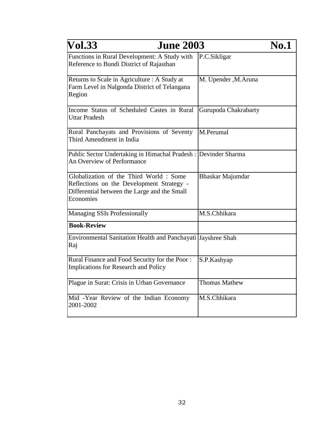| <b>Vol.33</b><br><b>June 2003</b>                                                                                                                |                       | <b>No.1</b> |
|--------------------------------------------------------------------------------------------------------------------------------------------------|-----------------------|-------------|
| Functions in Rural Development: A Study with<br>Reference to Bundi District of Rajasthan                                                         | P.C.Sikligar          |             |
| Returns to Scale in Agriculture : A Study at<br>Farm Level in Nalgonda District of Telangana<br>Region                                           | M. Upender , M. Aruna |             |
| Income Status of Scheduled Castes in Rural<br><b>Uttar Pradesh</b>                                                                               | Gurupoda Chakrabarty  |             |
| Rural Panchayats and Provisions of Seventy<br>Third Amendment in India                                                                           | M.Perumal             |             |
| Public Sector Undertaking in Himachal Pradesh : Devinder Sharma<br><b>An Overview of Performance</b>                                             |                       |             |
| Globalization of the Third World: Some<br>Reflections on the Development Strategy -<br>Differential between the Large and the Small<br>Economies | Bhaskar Majumdar      |             |
| <b>Managing SSIs Professionally</b>                                                                                                              | M.S.Chhikara          |             |
| <b>Book-Review</b>                                                                                                                               |                       |             |
| Environmental Sanitation Health and Panchayati Jayshree Shah<br>Raj                                                                              |                       |             |
| Rural Finance and Food Security for the Poor:<br>Implications for Research and Policy                                                            | S.P.Kashyap           |             |
| Plague in Surat: Crisis in Urban Governance                                                                                                      | <b>Thomas Mathew</b>  |             |
| Mid -Year Review of the Indian Economy<br>2001-2002                                                                                              | M.S.Chhikara          |             |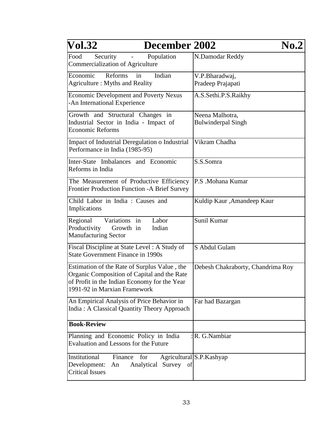| <b>Vol.32</b>                                                                                                                                                               | December 2002           |                                              | $\bf{No.2}$ |
|-----------------------------------------------------------------------------------------------------------------------------------------------------------------------------|-------------------------|----------------------------------------------|-------------|
| Food<br>Security<br>Commercialization of Agriculture                                                                                                                        | Population              | N.Damodar Reddy                              |             |
| Economic<br>Reforms<br>in<br>Agriculture: Myths and Reality                                                                                                                 | Indian                  | V.P.Bharadwaj,<br>Pradeep Prajapati          |             |
| <b>Economic Development and Poverty Nexus</b><br>-An International Experience                                                                                               |                         | A.S.Sethi.P.S.Raikhy                         |             |
| Growth and Structural Changes in<br>Industrial Sector in India - Impact of<br><b>Economic Reforms</b>                                                                       |                         | Neena Malhotra,<br><b>Bulwinderpal Singh</b> |             |
| Impact of Industrial Deregulation o Industrial<br>Performance in India (1985-95)                                                                                            |                         | Vikram Chadha                                |             |
| Inter-State Imbalances and Economic<br>Reforms in India                                                                                                                     |                         | S.S.Somra                                    |             |
| The Measurement of Productive Efficiency<br><b>Frontier Production Function -A Brief Survey</b>                                                                             |                         | P.S .Mohana Kumar                            |             |
| Child Labor in India : Causes and<br>Implications                                                                                                                           |                         | Kuldip Kaur, Amandeep Kaur                   |             |
| Regional<br>Variations in<br>Productivity<br>Growth in<br><b>Manufacturing Sector</b>                                                                                       | Labor<br>Indian         | Sunil Kumar                                  |             |
| Fiscal Discipline at State Level: A Study of<br>State Government Finance in 1990s                                                                                           |                         | S Abdul Gulam                                |             |
| Estimation of the Rate of Surplus Value, the<br>Organic Composition of Capital and the Rate<br>of Profit in the Indian Economy for the Year<br>1991-92 in Marxian Framework |                         | Debesh Chakraborty, Chandrima Roy            |             |
| An Empirical Analysis of Price Behavior in<br>India: A Classical Quantity Theory Approach                                                                                   |                         | Far had Bazargan                             |             |
| <b>Book-Review</b>                                                                                                                                                          |                         |                                              |             |
| Planning and Economic Policy in India<br><b>Evaluation and Lessons for the Future</b>                                                                                       |                         | R. G.Nambiar                                 |             |
| Institutional<br>Finance<br>for<br>Development:<br>An<br><b>Critical Issues</b>                                                                                             | Analytical Survey<br>of | Agricultural S.P. Kashyap                    |             |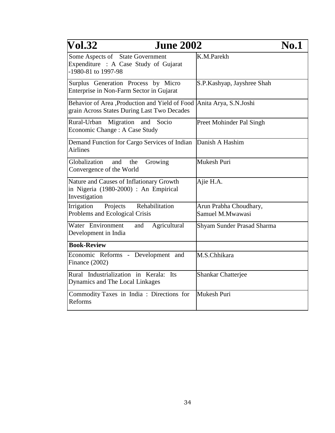| <b>Vol.32</b><br><b>June 2002</b>                                                                                    |                                            | <b>No.1</b> |
|----------------------------------------------------------------------------------------------------------------------|--------------------------------------------|-------------|
| Some Aspects of State Government<br>Expenditure : A Case Study of Gujarat<br>-1980-81 to 1997-98                     | K.M.Parekh                                 |             |
| Surplus Generation Process by Micro<br>Enterprise in Non-Farm Sector in Gujarat                                      | S.P.Kashyap, Jayshree Shah                 |             |
| Behavior of Area ,Production and Yield of Food  Anita Arya, S.N.Joshi<br>grain Across States During Last Two Decades |                                            |             |
| Migration<br>Rural-Urban<br>Socio<br>and<br>Economic Change: A Case Study                                            | Preet Mohinder Pal Singh                   |             |
| Demand Function for Cargo Services of Indian<br><b>Airlines</b>                                                      | Danish A Hashim                            |             |
| Globalization<br>and<br>Growing<br>the<br>Convergence of the World                                                   | Mukesh Puri                                |             |
| Nature and Causes of Inflationary Growth<br>in Nigeria (1980-2000) : An Empirical<br>Investigation                   | Ajie H.A.                                  |             |
| Rehabilitation<br>Irrigation<br>Projects<br>Problems and Ecological Crisis                                           | Arun Prabha Choudhary,<br>Samuel M.Mwawasi |             |
| Water Environment<br>Agricultural<br>and<br>Development in India                                                     | Shyam Sunder Prasad Sharma                 |             |
| <b>Book-Review</b>                                                                                                   |                                            |             |
| Economic Reforms - Development and<br>Finance (2002)                                                                 | M.S.Chhikara                               |             |
| Rural Industrialization in Kerala: Its<br>Dynamics and The Local Linkages                                            | <b>Shankar Chatterjee</b>                  |             |
| Commodity Taxes in India : Directions for<br>Reforms                                                                 | Mukesh Puri                                |             |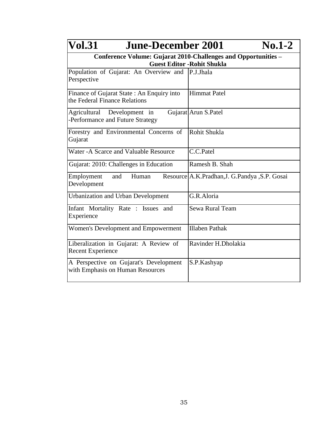| <b>Vol.31</b><br><b>June-December 2001</b>                                                           | $No.1-2$                                        |  |
|------------------------------------------------------------------------------------------------------|-------------------------------------------------|--|
| Conference Volume: Gujarat 2010-Challenges and Opportunities -<br><b>Guest Editor - Rohit Shukla</b> |                                                 |  |
| Population of Gujarat: An Overview and  P.J.Jhala<br>Perspective                                     |                                                 |  |
| Finance of Gujarat State: An Enquiry into<br>the Federal Finance Relations                           | <b>Himmat Patel</b>                             |  |
| Agricultural Development in<br>-Performance and Future Strategy                                      | Gujarat Arun S.Patel                            |  |
| Forestry and Environmental Concerns of<br>Gujarat                                                    | Rohit Shukla                                    |  |
| Water - A Scarce and Valuable Resource                                                               | C.C.Patel                                       |  |
| Gujarat: 2010: Challenges in Education                                                               | Ramesh B. Shah                                  |  |
| Employment<br>and<br>Human<br>Development                                                            | Resource A.K. Pradhan, J. G. Pandya, S.P. Gosai |  |
| <b>Urbanization and Urban Development</b>                                                            | G.R.Aloria                                      |  |
| Infant Mortality Rate : Issues<br>and<br>Experience                                                  | Sewa Rural Team                                 |  |
| Women's Development and Empowerment                                                                  | <b>Illaben Pathak</b>                           |  |
| Liberalization in Gujarat: A Review of<br><b>Recent Experience</b>                                   | Ravinder H.Dholakia                             |  |
| A Perspective on Gujarat's Development<br>with Emphasis on Human Resources                           | S.P.Kashyap                                     |  |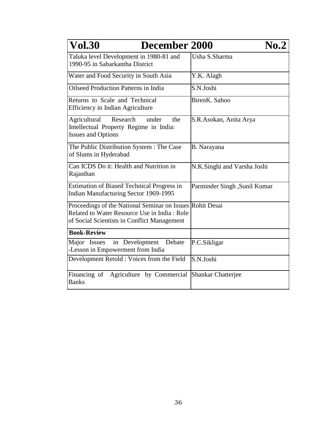| <b>Vol.30</b><br><b>December 2000</b>                                                                                                                    | $\bf{No.2}$                  |
|----------------------------------------------------------------------------------------------------------------------------------------------------------|------------------------------|
| Taluka level Development in 1980-81 and<br>1990-95 in Sabarkantha District                                                                               | Usha S.Sharma                |
| Water and Food Security in South Asia                                                                                                                    | Y.K. Alagh                   |
| <b>Oilseed Production Patterns in India</b>                                                                                                              | S.N.Joshi                    |
| Returns to Scale and Technical<br><b>Efficiency in Indian Agriculture</b>                                                                                | BirenK, Sahoo                |
| Agricultural<br>Research<br>under<br>the<br>Intellectual Property Regime in India:<br><b>Issues and Options</b>                                          | S.R.Asokan, Anita Arya       |
| The Public Distribution System : The Case<br>of Slums in Hyderabad                                                                                       | B. Narayana                  |
| Can ICDS Do it: Health and Nutrition in<br>Rajasthan                                                                                                     | N.K.Singhi and Varsha Joshi  |
| <b>Estimation of Biased Technical Progress in</b><br>Indian Manufacturing Sector 1969-1995                                                               | Parminder Singh, Sunil Kumar |
| Proceedings of the National Seminar on Issues Rohit Desai<br>Related to Water Resource Use in India: Role<br>of Social Scientists in Conflict Management |                              |
| <b>Book-Review</b>                                                                                                                                       |                              |
| in Development<br>Debate<br>Major Issues<br>-Lesson in Empowerment from India                                                                            | P.C.Sikligar                 |
| Development Retold : Voices from the Field                                                                                                               | S.N.Joshi                    |
| Financing of Agriculture by Commercial<br><b>Banks</b>                                                                                                   | <b>Shankar Chatterjee</b>    |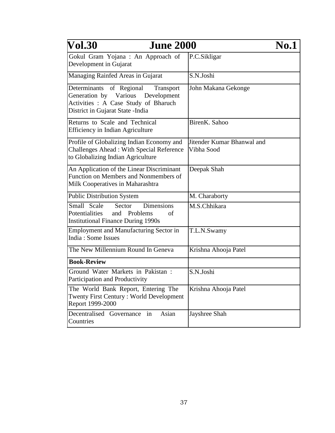| <b>Vol.30</b><br><b>June 2000</b>                                                                                                                               |                                          | <b>No.1</b> |
|-----------------------------------------------------------------------------------------------------------------------------------------------------------------|------------------------------------------|-------------|
| Gokul Gram Yojana : An Approach of<br>Development in Gujarat                                                                                                    | P.C.Sikligar                             |             |
| Managing Rainfed Areas in Gujarat                                                                                                                               | S.N.Joshi                                |             |
| Determinants<br>of Regional<br><b>Transport</b><br>Generation by Various Development<br>Activities: A Case Study of Bharuch<br>District in Gujarat State -India | John Makana Gekonge                      |             |
| Returns to Scale and Technical<br><b>Efficiency in Indian Agriculture</b>                                                                                       | BirenK. Sahoo                            |             |
| Profile of Globalizing Indian Economy and<br><b>Challenges Ahead: With Special Reference</b><br>to Globalizing Indian Agriculture                               | Jitender Kumar Bhanwal and<br>Vibha Sood |             |
| An Application of the Linear Discriminant<br>Function on Members and Nonmembers of<br>Milk Cooperatives in Maharashtra                                          | Deepak Shah                              |             |
| <b>Public Distribution System</b>                                                                                                                               | M. Charaborty                            |             |
| <b>Dimensions</b><br>Small Scale<br>Sector<br>Potentialities<br>and Problems<br>οf<br><b>Institutional Finance During 1990s</b>                                 | M.S.Chhikara                             |             |
| <b>Employment and Manufacturing Sector in</b><br>India: Some Issues                                                                                             | T.L.N.Swamy                              |             |
| The New Millennium Round In Geneva                                                                                                                              | Krishna Ahooja Patel                     |             |
| <b>Book-Review</b>                                                                                                                                              |                                          |             |
| Ground Water Markets in Pakistan :<br>Participation and Productivity                                                                                            | S.N.Joshi                                |             |
| The World Bank Report, Entering The<br><b>Twenty First Century: World Development</b><br>Report 1999-2000                                                       | Krishna Ahooja Patel                     |             |
| Decentralised Governance<br>Asian<br>in<br>Countries                                                                                                            | Jayshree Shah                            |             |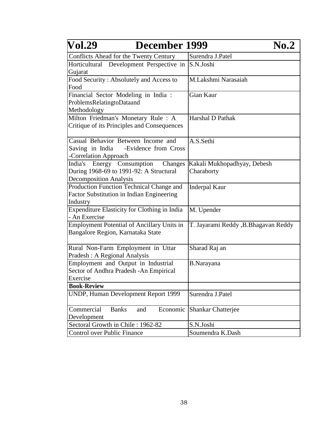| <b>Vol.29</b><br>December 1999                                                                      | $\bf{No.2}$                          |
|-----------------------------------------------------------------------------------------------------|--------------------------------------|
| Conflicts Ahead for the Twenty Century                                                              | Surendra J.Patel                     |
| Horticultural Development Perspective in<br>Gujarat                                                 | S.N.Joshi                            |
| Food Security: Absolutely and Access to<br>Food                                                     | M.Lakshmi Narasaiah                  |
| Financial Sector Modeling in India :<br>ProblemsRelatingtoDataand<br>Methodology                    | Gian Kaur                            |
| Milton Friedman's Monetary Rule: A<br>Critique of its Principles and Consequences                   | Harshal D Pathak                     |
| Casual Behavior Between Income and<br>Saving in India -Evidence from Cross<br>-Correlation Approach | A.S.Sethi                            |
| Energy Consumption<br>India's<br>Changes                                                            | Kakali Mukhopadhyay, Debesh          |
| During 1968-69 to 1991-92: A Structural                                                             | Charaborty                           |
| <b>Decomposition Analysis</b>                                                                       |                                      |
| Production Function Technical Change and<br>Factor Substitution in Indian Engineering<br>Industry   | <b>Inderpal Kaur</b>                 |
| Expenditure Elasticity for Clothing in India<br>- An Exercise                                       | M. Upender                           |
| <b>Employment Potential of Ancillary Units in</b><br>Bangalore Region, Karnataka State              | T. Jayarami Reddy, B. Bhagavan Reddy |
| Rural Non-Farm Employment in Uttar<br>Pradesh : A Regional Analysis                                 | Sharad Raj an                        |
| Employment and Output in Industrial<br>Sector of Andhra Pradesh - An Empirical<br>Exercise          | <b>B.Narayana</b>                    |
| <b>Book-Review</b>                                                                                  |                                      |
| <b>UNDP, Human Development Report 1999</b>                                                          | Surendra J.Patel                     |
| Commercial<br><b>Banks</b><br>Economic<br>and<br>Development                                        | <b>Shankar Chatterjee</b>            |
| Sectoral Growth in Chile: 1962-82                                                                   | S.N.Joshi                            |
| Control over Public Finance                                                                         | Soumendra K.Dash                     |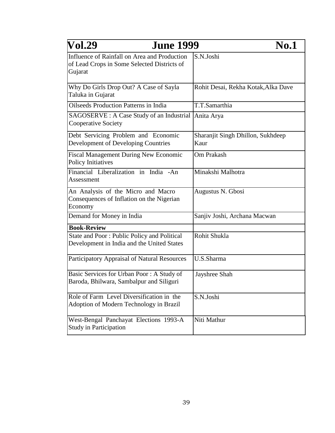| <b>Vol.29</b><br><b>June 1999</b>                                                                      | <b>No.1</b>                               |
|--------------------------------------------------------------------------------------------------------|-------------------------------------------|
| Influence of Rainfall on Area and Production<br>of Lead Crops in Some Selected Districts of<br>Gujarat | S.N.Joshi                                 |
| Why Do Girls Drop Out? A Case of Sayla<br>Taluka in Gujarat                                            | Rohit Desai, Rekha Kotak, Alka Dave       |
| <b>Oilseeds Production Patterns in India</b>                                                           | T.T.Samarthia                             |
| SAGOSERVE : A Case Study of an Industrial<br><b>Cooperative Society</b>                                | Anita Arya                                |
| Debt Servicing Problem and Economic<br><b>Development of Developing Countries</b>                      | Sharanjit Singh Dhillon, Sukhdeep<br>Kaur |
| <b>Fiscal Management During New Economic</b><br><b>Policy Initiatives</b>                              | Om Prakash                                |
| Financial Liberalization in India -An<br>Assessment                                                    | Minakshi Malhotra                         |
| An Analysis of the Micro and Macro<br>Consequences of Inflation on the Nigerian<br>Economy             | Augustus N. Gbosi                         |
| Demand for Money in India                                                                              | Sanjiv Joshi, Archana Macwan              |
| <b>Book-Review</b>                                                                                     |                                           |
| State and Poor: Public Policy and Political<br>Development in India and the United States              | Rohit Shukla                              |
| Participatory Appraisal of Natural Resources                                                           | U.S.Sharma                                |
| Basic Services for Urban Poor: A Study of<br>Baroda, Bhilwara, Sambalpur and Siliguri                  | Jayshree Shah                             |
| Role of Farm Level Diversification in the<br>Adoption of Modern Technology in Brazil                   | S.N.Joshi                                 |
| West-Bengal Panchayat Elections 1993-A<br><b>Study in Participation</b>                                | Niti Mathur                               |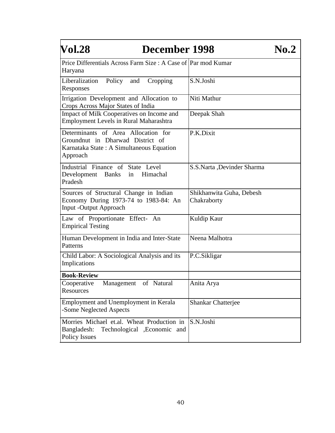| Vol.28<br>December 1998                                                                                                         |                                         | $\bf{No.2}$ |
|---------------------------------------------------------------------------------------------------------------------------------|-----------------------------------------|-------------|
| Price Differentials Across Farm Size : A Case of Par mod Kumar<br>Haryana                                                       |                                         |             |
| Liberalization<br>Policy<br>and<br>Cropping<br>Responses                                                                        | S.N.Joshi                               |             |
| Irrigation Development and Allocation to<br>Crops Across Major States of India                                                  | Niti Mathur                             |             |
| Impact of Milk Cooperatives on Income and<br>Employment Levels in Rural Maharashtra                                             | Deepak Shah                             |             |
| Determinants of Area Allocation for<br>Groundnut in Dharwad District of<br>Karnataka State: A Simultaneous Equation<br>Approach | P.K.Dixit                               |             |
| Industrial Finance of State Level<br>Development Banks in Himachal<br>Pradesh                                                   | S.S.Narta ,Devinder Sharma              |             |
| Sources of Structural Change in Indian<br>Economy During 1973-74 to 1983-84: An<br><b>Input -Output Approach</b>                | Shikhanwita Guha, Debesh<br>Chakraborty |             |
| Law of Proportionate Effect- An<br><b>Empirical Testing</b>                                                                     | Kuldip Kaur                             |             |
| Human Development in India and Inter-State<br>Patterns                                                                          | Neena Malhotra                          |             |
| Child Labor: A Sociological Analysis and its<br>Implications                                                                    | P.C.Sikligar                            |             |
| <b>Book-Review</b>                                                                                                              |                                         |             |
| of Natural<br>Cooperative<br>Management<br>Resources                                                                            | Anita Arya                              |             |
| Employment and Unemployment in Kerala<br>-Some Neglected Aspects                                                                | <b>Shankar Chatterjee</b>               |             |
| Morries Michael et.al. Wheat Production in<br>Technological , Economic and<br>Bangladesh:<br><b>Policy Issues</b>               | S.N.Joshi                               |             |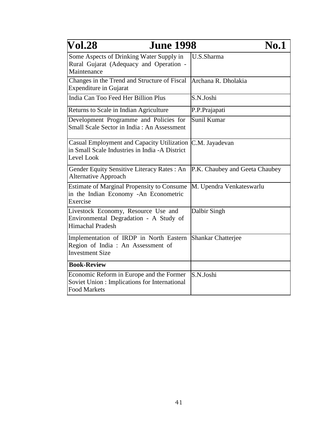| <b>Vol.28</b><br><b>June 1998</b>                                                                                | <b>No.1</b>                    |
|------------------------------------------------------------------------------------------------------------------|--------------------------------|
| Some Aspects of Drinking Water Supply in<br>Rural Gujarat (Adequacy and Operation -<br>Maintenance               | U.S.Sharma                     |
| Changes in the Trend and Structure of Fiscal<br><b>Expenditure in Gujarat</b>                                    | Archana R. Dholakia            |
| India Can Too Feed Her Billion Plus                                                                              | S.N.Joshi                      |
| Returns to Scale in Indian Agriculture                                                                           | P.P.Prajapati                  |
| Development Programme and Policies for<br>Small Scale Sector in India: An Assessment                             | Sunil Kumar                    |
| Casual Employment and Capacity Utilization<br>in Small Scale Industries in India - A District<br>Level Look      | C.M. Jayadevan                 |
| Gender Equity Sensitive Literacy Rates: An<br><b>Alternative Approach</b>                                        | P.K. Chaubey and Geeta Chaubey |
| <b>Estimate of Marginal Propensity to Consume</b><br>in the Indian Economy -An Econometric<br>Exercise           | M. Upendra Venkateswarlu       |
| Livestock Economy, Resource Use and<br>Environmental Degradation - A Study of<br><b>Himachal Pradesh</b>         | Dalbir Singh                   |
| Implementation of IRDP in North Eastern<br>Region of India : An Assessment of<br><b>Investment Size</b>          | <b>Shankar Chatterjee</b>      |
| <b>Book-Review</b>                                                                                               |                                |
| Economic Reform in Europe and the Former<br>Soviet Union : Implications for International<br><b>Food Markets</b> | S.N.Joshi                      |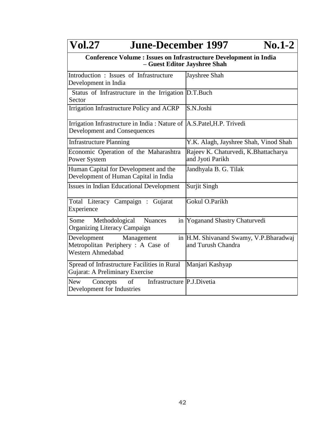| <b>Vol.27</b><br><b>June-December 1997</b>                                                                   | $No.1-2$                                                     |
|--------------------------------------------------------------------------------------------------------------|--------------------------------------------------------------|
| <b>Conference Volume : Issues on Infrastructure Development in India</b>                                     | - Guest Editor Jayshree Shah                                 |
| Introduction : Issues of Infrastructure<br>Development in India                                              | Jayshree Shah                                                |
| Status of Infrastructure in the Irrigation D.T.Buch<br>Sector                                                |                                                              |
| Irrigation Infrastructure Policy and ACRP                                                                    | S.N.Joshi                                                    |
| Irrigation Infrastructure in India: Nature of A.S.Patel, H.P. Trivedi<br><b>Development and Consequences</b> |                                                              |
| <b>Infrastructure Planning</b>                                                                               | Y.K. Alagh, Jayshree Shah, Vinod Shah                        |
| Economic Operation of the Maharashtra<br>Power System                                                        | Rajeev K. Chaturvedi, K. Bhattacharya<br>and Jyoti Parikh    |
| Human Capital for Development and the<br>Development of Human Capital in India                               | Jandhyala B. G. Tilak                                        |
| <b>Issues in Indian Educational Development</b>                                                              | Surjit Singh                                                 |
| Total Literacy Campaign : Gujarat<br>Experience                                                              | Gokul O.Parikh                                               |
| Methodological<br>Some<br><b>Nuances</b><br><b>Organizing Literacy Campaign</b>                              | in Yoganand Shastry Chaturvedi                               |
| Development<br>Management<br>Metropolitan Periphery: A Case of<br>Western Ahmedabad                          | in H.M. Shivanand Swamy, V.P.Bharadwaj<br>and Turush Chandra |
| Spread of Infrastructure Facilities in Rural<br>Gujarat: A Preliminary Exercise                              | Manjari Kashyap                                              |
| Infrastructure P.J.Divetia<br><b>New</b><br>Concepts<br>of<br>Development for Industries                     |                                                              |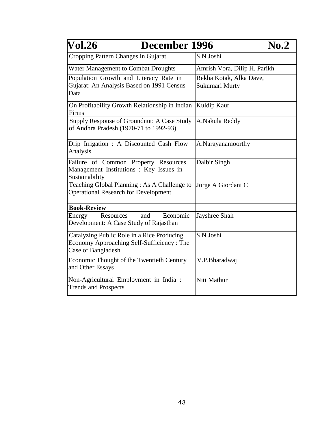| <b>Vol.26</b><br>December 1996                                                                                | $\bf{No.2}$                  |
|---------------------------------------------------------------------------------------------------------------|------------------------------|
| Cropping Pattern Changes in Gujarat                                                                           | S.N.Joshi                    |
| Water Management to Combat Droughts                                                                           | Amrish Vora, Dilip H. Parikh |
| Population Growth and Literacy Rate in                                                                        | Rekha Kotak, Alka Dave,      |
| Gujarat: An Analysis Based on 1991 Census<br>Data                                                             | Sukumari Murty               |
| On Profitability Growth Relationship in Indian<br>Firms                                                       | Kuldip Kaur                  |
| Supply Response of Groundnut: A Case Study<br>of Andhra Pradesh (1970-71 to 1992-93)                          | A.Nakula Reddy               |
| Drip Irrigation: A Discounted Cash Flow<br>Analysis                                                           | A.Narayanamoorthy            |
| Failure of Common Property Resources<br>Management Institutions : Key Issues in<br>Sustainability             | Dalbir Singh                 |
| Teaching Global Planning: As A Challenge to<br><b>Operational Research for Development</b>                    | Jorge A Giordani C           |
| <b>Book-Review</b>                                                                                            |                              |
| Economic<br>and<br><b>Resources</b><br>Energy<br>Development: A Case Study of Rajasthan                       | Jayshree Shah                |
| Catalyzing Public Role in a Rice Producing<br>Economy Approaching Self-Sufficiency: The<br>Case of Bangladesh | S.N.Joshi                    |
| Economic Thought of the Twentieth Century<br>and Other Essays                                                 | V.P.Bharadwaj                |
| Non-Agricultural Employment in India :<br><b>Trends and Prospects</b>                                         | Niti Mathur                  |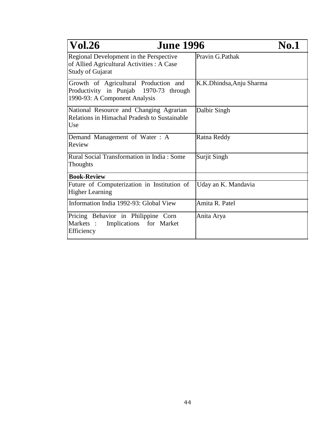| <b>Vol.26</b><br><b>June 1996</b>                                                                                |                          | <b>No.1</b> |
|------------------------------------------------------------------------------------------------------------------|--------------------------|-------------|
| Regional Development in the Perspective<br>of Allied Agricultural Activities : A Case<br><b>Study of Gujarat</b> | Pravin G.Pathak          |             |
| Growth of Agricultural Production and<br>Productivity in Punjab 1970-73 through<br>1990-93: A Component Analysis | K.K.Dhindsa, Anju Sharma |             |
| National Resource and Changing Agrarian<br>Relations in Himachal Pradesh to Sustainable<br>Use                   | Dalbir Singh             |             |
| Demand Management of Water: A<br>Review                                                                          | Ratna Reddy              |             |
| Rural Social Transformation in India: Some<br>Thoughts                                                           | Surjit Singh             |             |
| <b>Book-Review</b>                                                                                               |                          |             |
| Future of Computerization in Institution of<br><b>Higher Learning</b>                                            | Uday an K. Mandavia      |             |
| Information India 1992-93: Global View                                                                           | Amita R. Patel           |             |
| Pricing Behavior in Philippine Corn<br>Markets :<br>Implications for Market<br>Efficiency                        | Anita Arya               |             |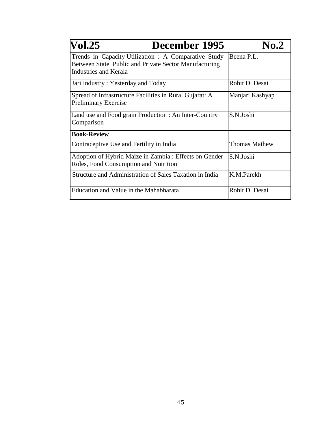| <b>Vol.25</b><br>December 1995                                                                                                         | No.2                 |
|----------------------------------------------------------------------------------------------------------------------------------------|----------------------|
| Trends in Capacity Utilization : A Comparative Study<br>Between State Public and Private Sector Manufacturing<br>Industries and Kerala | Beena P.L.           |
| Jari Industry: Yesterday and Today                                                                                                     | Rohit D. Desai       |
| Spread of Infrastructure Facilities in Rural Gujarat: A<br><b>Preliminary Exercise</b>                                                 | Manjari Kashyap      |
| Land use and Food grain Production : An Inter-Country<br>Comparison                                                                    | S.N.Joshi            |
| <b>Book-Review</b>                                                                                                                     |                      |
| Contraceptive Use and Fertility in India                                                                                               | <b>Thomas Mathew</b> |
| Adoption of Hybrid Maize in Zambia: Effects on Gender<br>Roles, Food Consumption and Nutrition                                         | S.N.Joshi            |
| Structure and Administration of Sales Taxation in India                                                                                | K.M.Parekh           |
| Education and Value in the Mahabharata                                                                                                 | Rohit D. Desai       |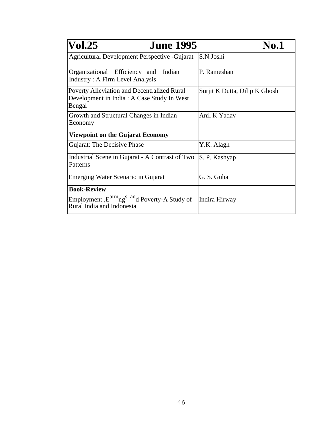| <b>June 1995</b><br><b>Vol.25</b>                                                                           | <b>No.1</b>                   |
|-------------------------------------------------------------------------------------------------------------|-------------------------------|
| <b>Agricultural Development Perspective - Gujarat</b>                                                       | S.N.Joshi                     |
| Organizational Efficiency and Indian<br><b>Industry: A Firm Level Analysis</b>                              | P. Rameshan                   |
| <b>Poverty Alleviation and Decentralized Rural</b><br>Development in India : A Case Study In West<br>Bengal | Surjit K Dutta, Dilip K Ghosh |
| Growth and Structural Changes in Indian<br>Economy                                                          | Anil K Yadav                  |
| <b>Viewpoint on the Gujarat Economy</b>                                                                     |                               |
| Gujarat: The Decisive Phase                                                                                 | Y.K. Alagh                    |
| Industrial Scene in Gujarat - A Contrast of Two<br>Patterns                                                 | S. P. Kashyap                 |
| Emerging Water Scenario in Gujarat                                                                          | G. S. Guha                    |
| <b>Book-Review</b>                                                                                          |                               |
| Employment, E <sup>armi</sup> ng <sup>s an</sup> d Poverty-A Study of<br>Rural India and Indonesia          | Indira Hirway                 |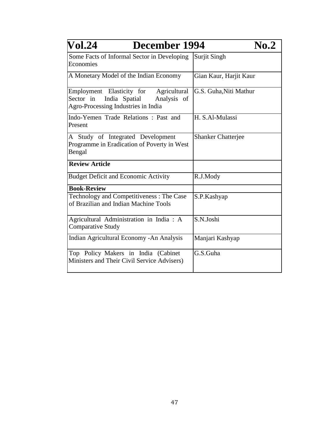| <b>Vol.24</b><br>December 1994                                                                                                | $\bf{No.2}$               |
|-------------------------------------------------------------------------------------------------------------------------------|---------------------------|
| Some Facts of Informal Sector in Developing<br>Economies                                                                      | Surjit Singh              |
| A Monetary Model of the Indian Economy                                                                                        | Gian Kaur, Harjit Kaur    |
| Employment Elasticity for<br>Agricultural<br>Sector in<br>India Spatial<br>Analysis of<br>Agro-Processing Industries in India | G.S. Guha, Niti Mathur    |
| Indo-Yemen Trade Relations: Past and<br>Present                                                                               | H. S.Al-Mulassi           |
| A Study of Integrated Development<br>Programme in Eradication of Poverty in West<br>Bengal                                    | <b>Shanker Chatterjee</b> |
| <b>Review Article</b>                                                                                                         |                           |
| <b>Budget Deficit and Economic Activity</b>                                                                                   | R.J.Mody                  |
| <b>Book-Review</b>                                                                                                            |                           |
| Technology and Competitiveness: The Case<br>of Brazilian and Indian Machine Tools                                             | S.P.Kashyap               |
| Agricultural Administration in India : A<br><b>Comparative Study</b>                                                          | S.N.Joshi                 |
| Indian Agricultural Economy - An Analysis                                                                                     | Manjari Kashyap           |
| Top Policy Makers in India (Cabinet<br>Ministers and Their Civil Service Advisers)                                            | G.S.Guha                  |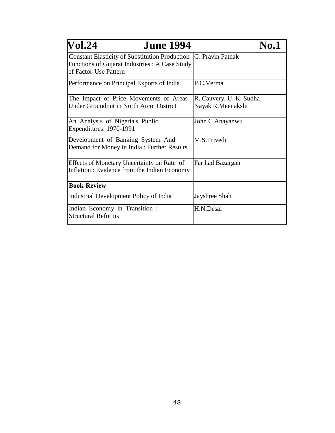| <b>Vol.24</b><br><b>June 1994</b>                                                                                                           | <b>No.1</b>                                  |
|---------------------------------------------------------------------------------------------------------------------------------------------|----------------------------------------------|
| Constant Elasticity of Substitution Production  G. Pravin Pathak<br>Functions of Gujarat Industries : A Case Study<br>of Factor-Use Pattern |                                              |
| Performance on Principal Exports of India                                                                                                   | P.C.Verma                                    |
| The Impact of Price Movements of Areas<br><b>Under Groundnut in North Arcot District</b>                                                    | R. Cauvery, U. K. Sudha<br>Nayak R.Meenakshi |
| An Analysis of Nigeria's Public<br>Expenditures: 1970-1991                                                                                  | John C Anayanwu                              |
| Development of Banking System And<br>Demand for Money in India: Further Results                                                             | M.S.Trivedi                                  |
| Effects of Monetary Uncertainty on Rate of<br>Inflation : Evidence from the Indian Economy                                                  | Far had Bazargan                             |
| <b>Book-Review</b>                                                                                                                          |                                              |
| Industrial Development Policy of India                                                                                                      | Jayshree Shah                                |
| Indian Economy in Transition :<br><b>Structural Reforms</b>                                                                                 | H.N.Desai                                    |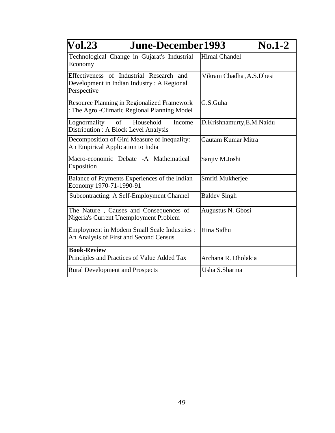| $\overline{\text{Vol}}.23$<br>June-December1993<br>$No.1-2$                                           |                           |
|-------------------------------------------------------------------------------------------------------|---------------------------|
| Technological Change in Gujarat's Industrial<br>Economy                                               | <b>Himal Chandel</b>      |
| Effectiveness of Industrial Research and<br>Development in Indian Industry: A Regional<br>Perspective | Vikram Chadha, A.S. Dhesi |
| <b>Resource Planning in Regionalized Framework</b><br>: The Agro - Climatic Regional Planning Model   | G.S.Guha                  |
| of<br>Household<br>Lognormality<br>Income<br>Distribution : A Block Level Analysis                    | D.Krishnamurty, E.M.Naidu |
| Decomposition of Gini Measure of Inequality:<br>An Empirical Application to India                     | Gautam Kumar Mitra        |
| Macro-economic Debate -A Mathematical<br>Exposition                                                   | Sanjiv M.Joshi            |
| Balance of Payments Experiences of the Indian<br>Economy 1970-71-1990-91                              | Smriti Mukherjee          |
| Subcontracting: A Self-Employment Channel                                                             | <b>Baldev Singh</b>       |
| The Nature, Causes and Consequences of<br>Nigeria's Current Unemployment Problem                      | Augustus N. Gbosi         |
| <b>Employment in Modern Small Scale Industries :</b><br>An Analysis of First and Second Census        | Hina Sidhu                |
| <b>Book-Review</b>                                                                                    |                           |
| Principles and Practices of Value Added Tax                                                           | Archana R. Dholakia       |
| <b>Rural Development and Prospects</b>                                                                | Usha S.Sharma             |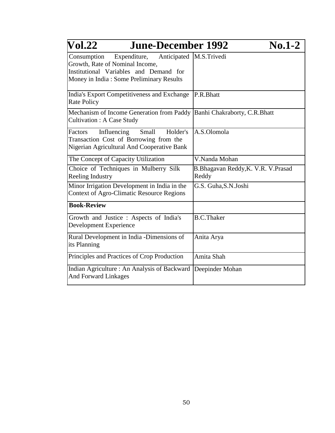| $\bf Vol.22$<br><b>June-December 1992</b>                                                                                                                        | $\mathbf{No}$ .1-2                          |
|------------------------------------------------------------------------------------------------------------------------------------------------------------------|---------------------------------------------|
| Consumption<br>Expenditure, Anticipated<br>Growth, Rate of Nominal Income,<br>Institutional Variables and Demand for<br>Money in India: Some Preliminary Results | M.S.Trivedi                                 |
| India's Export Competitiveness and Exchange<br><b>Rate Policy</b>                                                                                                | P.R.Bhatt                                   |
| Mechanism of Income Generation from Paddy   Banhi Chakraborty, C.R.Bhatt<br><b>Cultivation: A Case Study</b>                                                     |                                             |
| Influencing<br>Small<br>Factors<br>Holder's<br>Transaction Cost of Borrowing from the<br>Nigerian Agricultural And Cooperative Bank                              | A.S.Olomola                                 |
| The Concept of Capacity Utilization                                                                                                                              | V.Nanda Mohan                               |
| Choice of Techniques in Mulberry Silk<br>Reeling Industry                                                                                                        | B.Bhagavan Reddy, K. V.R. V.Prasad<br>Reddy |
| Minor Irrigation Development in India in the<br><b>Context of Agro-Climatic Resource Regions</b>                                                                 | G.S. Guha, S.N. Joshi                       |
| <b>Book-Review</b>                                                                                                                                               |                                             |
| Growth and Justice : Aspects of India's<br>Development Experience                                                                                                | <b>B.C.Thaker</b>                           |
| Rural Development in India -Dimensions of<br>its Planning                                                                                                        | Anita Arya                                  |
| Principles and Practices of Crop Production                                                                                                                      | Amita Shah                                  |
| Indian Agriculture: An Analysis of Backward<br><b>And Forward Linkages</b>                                                                                       | Deepinder Mohan                             |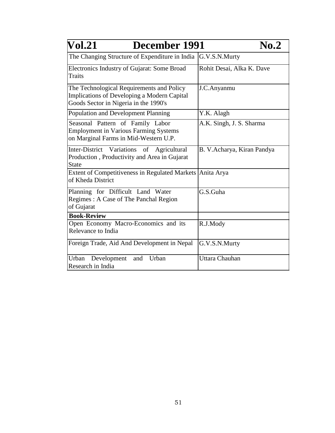| <b>Vol.21</b><br>December 1991                                                                                                    | $\bf{No.2}$                |
|-----------------------------------------------------------------------------------------------------------------------------------|----------------------------|
| The Changing Structure of Expenditure in India                                                                                    | G.V.S.N.Murty              |
| Electronics Industry of Gujarat: Some Broad<br><b>Traits</b>                                                                      | Rohit Desai, Alka K. Dave  |
| The Technological Requirements and Policy<br>Implications of Developing a Modern Capital<br>Goods Sector in Nigeria in the 1990's | J.C.Anyanmu                |
| Population and Development Planning                                                                                               | Y.K. Alagh                 |
| Seasonal Pattern of Family Labor<br><b>Employment in Various Farming Systems</b><br>on Marginal Farms in Mid-Western U.P.         | A.K. Singh, J. S. Sharma   |
| Inter-District Variations<br>of<br>Agricultural<br>Production, Productivity and Area in Gujarat<br><b>State</b>                   | B. V.Acharya, Kiran Pandya |
| <b>Extent of Competitiveness in Regulated Markets</b><br>of Kheda District                                                        | Anita Arya                 |
| Planning for Difficult Land Water<br>Regimes: A Case of The Panchal Region<br>of Gujarat                                          | G.S.Guha                   |
| <b>Book-Review</b>                                                                                                                |                            |
| Open Economy Macro-Economics and its<br>Relevance to India                                                                        | R.J.Mody                   |
| Foreign Trade, Aid And Development in Nepal                                                                                       | G.V.S.N.Murty              |
| Urban<br>Urban Development<br>and<br>Research in India                                                                            | Uttara Chauhan             |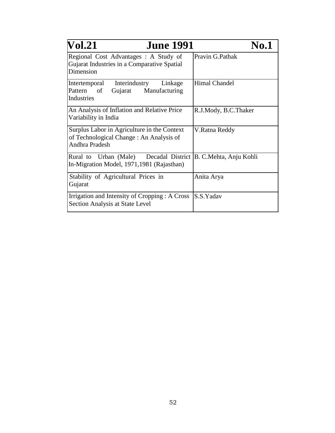| <b>June 1991</b><br><b>Vol.21</b>                                                                            | No.1                 |
|--------------------------------------------------------------------------------------------------------------|----------------------|
| Regional Cost Advantages: A Study of<br>Gujarat Industries in a Comparative Spatial<br>Dimension             | Pravin G.Pathak      |
| Interindustry Linkage<br>Intertemporal<br>Gujarat Manufacturing<br>Pattern<br>of<br>Industries               | <b>Himal Chandel</b> |
| An Analysis of Inflation and Relative Price<br>Variability in India                                          | R.J.Mody, B.C.Thaker |
| Surplus Labor in Agriculture in the Context<br>of Technological Change: An Analysis of<br>Andhra Pradesh     | V.Ratna Reddy        |
| Rural to Urban (Male) Decadal District B. C. Mehta, Anju Kohli<br>In-Migration Model, 1971, 1981 (Rajasthan) |                      |
| Stability of Agricultural Prices in<br>Gujarat                                                               | Anita Arya           |
| Irrigation and Intensity of Cropping : A Cross<br>Section Analysis at State Level                            | S.S.Yadav            |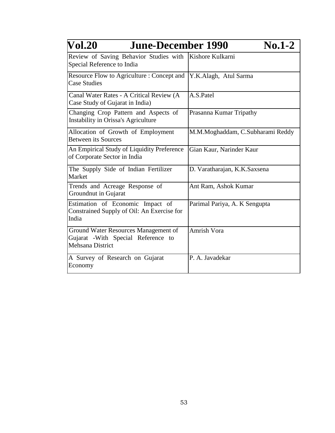| <b>Vol.20</b><br><b>June-December 1990</b><br>$\mathbf{No}$ .1-2                                       |                                  |
|--------------------------------------------------------------------------------------------------------|----------------------------------|
| Review of Saving Behavior Studies with Kishore Kulkarni<br>Special Reference to India                  |                                  |
| Resource Flow to Agriculture : Concept and<br><b>Case Studies</b>                                      | Y.K.Alagh, Atul Sarma            |
| Canal Water Rates - A Critical Review (A<br>Case Study of Gujarat in India)                            | A.S.Patel                        |
| Changing Crop Pattern and Aspects of<br>Instability in Orissa's Agriculture                            | Prasanna Kumar Tripathy          |
| Allocation of Growth of Employment<br><b>Between its Sources</b>                                       | M.M.Moghaddam, C.Subharami Reddy |
| An Empirical Study of Liquidity Preference<br>of Corporate Sector in India                             | Gian Kaur, Narinder Kaur         |
| The Supply Side of Indian Fertilizer<br>Market                                                         | D. Varatharajan, K.K.Saxsena     |
| Trends and Acreage Response of<br>Groundnut in Gujarat                                                 | Ant Ram, Ashok Kumar             |
| Estimation of Economic Impact of<br>Constrained Supply of Oil: An Exercise for<br>India                | Parimal Pariya, A. K Sengupta    |
| Ground Water Resources Management of<br>Gujarat - With Special Reference to<br><b>Mehsana District</b> | <b>Amrish Vora</b>               |
| A Survey of Research on Gujarat<br>Economy                                                             | P. A. Javadekar                  |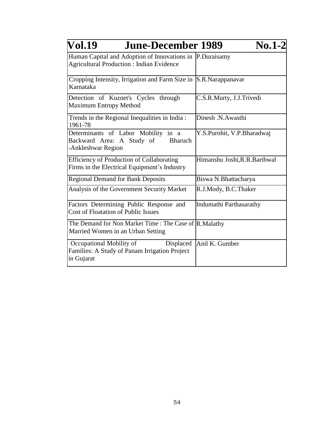| <b>Vol.19</b><br><b>June-December 1989</b>                                                                  | $No.1-2$                      |
|-------------------------------------------------------------------------------------------------------------|-------------------------------|
| Human Capital and Adoption of Innovations in P.Duraisamy<br><b>Agricultural Production: Indian Evidence</b> |                               |
| Cropping Intensity, Irrigation and Farm Size in S.R.Narappanavar<br>Karnataka                               |                               |
| Detection of Kuznet's Cycles through<br><b>Maximum Entropy Method</b>                                       | C.S.R.Murty, J.J.Trivedi      |
| Trends in the Regional Inequalities in India:<br>1961-78                                                    | Dinesh N.Awasthi              |
| Determinants of Labor Mobility in a<br>Backward Area: A Study of<br><b>Bharuch</b><br>-Ankleshwar Region    | Y.S.Purohit, V.P.Bharadwaj    |
| Efficiency of Production of Collaborating<br>Firms in the Electrical Equipment's Industry                   | Himanshu Joshi, R.R. Barthwal |
| Regional Demand for Bank Deposits                                                                           | Biswa N.Bhattacharya          |
| Analysis of the Government Security Market                                                                  | R.J.Mody, B.C.Thaker          |
| Factors Determining Public Response and<br><b>Cost of Floatation of Public Issues</b>                       | Indumathi Parthasarathy       |
| The Demand for Non Market Time : The Case of R. Malathy<br>Married Women in an Urban Setting                |                               |
| Occupational Mobility of<br>Displaced<br>Families: A Study of Panam Irrigation Project<br>in Gujarat        | Anil K. Gumber                |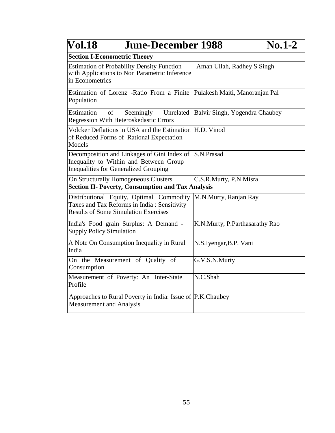| <b>Vol.18</b><br><b>June-December 1988</b><br>$No.1-2$                                                                                 |                                |
|----------------------------------------------------------------------------------------------------------------------------------------|--------------------------------|
| <b>Section I-Econometric Theory</b>                                                                                                    |                                |
| <b>Estimation of Probability Density Function</b><br>with Applications to Non Parametric Inference<br>in Econometrics                  | Aman Ullah, Radhey S Singh     |
| Estimation of Lorenz -Ratio From a Finite<br>Population                                                                                | Pulakesh Maiti, Manoranjan Pal |
| Estimation<br>of<br>Unrelated<br>Seemingly<br><b>Regression With Heteroskedastic Errors</b>                                            | Balvir Singh, Yogendra Chaubey |
| Volcker Deflations in USA and the Estimation H.D. Vinod<br>of Reduced Forms of Rational Expectation<br>Models                          |                                |
| Decomposition and Linkages of Gini Index of<br>Inequality to Within and Between Group<br><b>Inequalities for Generalized Grouping</b>  | S.N.Prasad                     |
| On Structurally Homogeneous Clusters                                                                                                   | C.S.R.Murty, P.N.Misra         |
| <b>Section II- Poverty, Consumption and Tax Analysis</b>                                                                               |                                |
| Distributional Equity, Optimal Commodity<br>Taxes and Tax Reforms in India: Sensitivity<br><b>Results of Some Simulation Exercises</b> | M.N.Murty, Ranjan Ray          |
| India's Food grain Surplus: A Demand -<br><b>Supply Policy Simulation</b>                                                              | K.N.Murty, P.Parthasarathy Rao |
| A Note On Consumption Inequality in Rural<br>India                                                                                     | N.S.Iyengar, B.P. Vani         |
| On the Measurement of Quality of<br>Consumption                                                                                        | G.V.S.N.Murty                  |
| Measurement of Poverty: An Inter-State<br>Profile                                                                                      | N.C.Shah                       |
| Approaches to Rural Poverty in India: Issue of P.K.Chaubey<br><b>Measurement and Analysis</b>                                          |                                |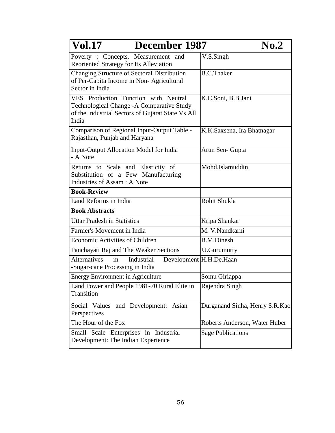| <b>Vol.17</b><br>December 1987                                                                                                                   | $\bf{No.2}$                    |
|--------------------------------------------------------------------------------------------------------------------------------------------------|--------------------------------|
| Poverty: Concepts, Measurement and<br>Reoriented Strategy for Its Alleviation                                                                    | V.S.Singh                      |
| Changing Structure of Sectoral Distribution<br>of Per-Capita Income in Non-Agricultural<br>Sector in India                                       | <b>B.C.Thaker</b>              |
| VES Production Function with Neutral<br>Technological Change - A Comparative Study<br>of the Industrial Sectors of Gujarat State Vs All<br>India | K.C.Soni, B.B.Jani             |
| Comparison of Regional Input-Output Table -<br>Rajasthan, Punjab and Haryana                                                                     | K.K.Saxsena, Ira Bhatnagar     |
| Input-Output Allocation Model for India<br>- A Note                                                                                              | Arun Sen- Gupta                |
| Returns to Scale and Elasticity of<br>Substitution of a Few Manufacturing<br>Industries of Assam : A Note                                        | Mohd.Islamuddin                |
| <b>Book-Review</b>                                                                                                                               |                                |
| Land Reforms in India                                                                                                                            | Rohit Shukla                   |
| <b>Book Abstracts</b>                                                                                                                            |                                |
| <b>Uttar Pradesh in Statistics</b>                                                                                                               | Kripa Shankar                  |
| Farmer's Movement in India                                                                                                                       | M. V.Nandkarni                 |
| Economic Activities of Children                                                                                                                  | <b>B.M.Dinesh</b>              |
| Panchayati Raj and The Weaker Sections                                                                                                           | <b>U.Gurumurty</b>             |
| <b>Alternatives</b><br>Industrial<br>in<br>-Sugar-cane Processing in India                                                                       | Development H.H.De.Haan        |
| <b>Energy Environment in Agriculture</b>                                                                                                         | Somu Giriappa                  |
| Land Power and People 1981-70 Rural Elite in<br>Transition                                                                                       | Rajendra Singh                 |
| Social Values and Development: Asian<br>Perspectives                                                                                             | Durganand Sinha, Henry S.R.Kao |
| The Hour of the Fox                                                                                                                              | Roberts Anderson, Water Huber  |
| Small Scale Enterprises in Industrial<br>Development: The Indian Experience                                                                      | <b>Sage Publications</b>       |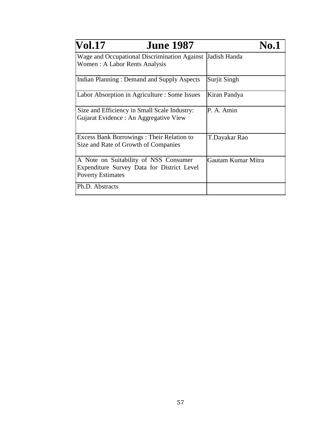| <b>Vol.17</b><br><b>June 1987</b>                                                                               | No. 1              |
|-----------------------------------------------------------------------------------------------------------------|--------------------|
| Wage and Occupational Discrimination Against<br>Women: A Labor Rents Analysis                                   | Jadish Handa       |
| Indian Planning: Demand and Supply Aspects                                                                      | Surjit Singh       |
| Labor Absorption in Agriculture : Some Issues                                                                   | Kiran Pandya       |
| Size and Efficiency in Small Scale Industry:<br>Gujarat Evidence : An Aggregative View                          | P. A. Amin         |
| <b>Excess Bank Borrowings: Their Relation to</b><br>Size and Rate of Growth of Companies                        | T.Dayakar Rao      |
| A Note on Suitability of NSS Consumer<br>Expenditure Survey Data for District Level<br><b>Poverty Estimates</b> | Gautam Kumar Mitra |
| Ph.D. Abstracts                                                                                                 |                    |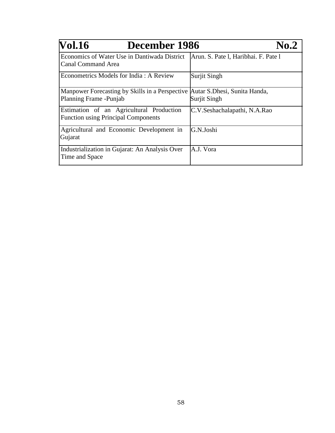| <b>Vol.16</b><br>December 1986                                                                           | $\mathbf{N}$ 0.2                     |
|----------------------------------------------------------------------------------------------------------|--------------------------------------|
| Economics of Water Use in Dantiwada District<br><b>Canal Command Area</b>                                | Arun. S. Pate 1, Haribhai. F. Pate 1 |
| Econometrics Models for India: A Review                                                                  | Surjit Singh                         |
| Manpower Forecasting by Skills in a Perspective Autar S. Dhesi, Sunita Handa,<br>Planning Frame - Punjab | Surjit Singh                         |
| Estimation of an Agricultural Production<br><b>Function using Principal Components</b>                   | C.V.Seshachalapathi, N.A.Rao         |
| Agricultural and Economic Development in<br>Gujarat                                                      | G.N.Joshi                            |
| Industrialization in Gujarat: An Analysis Over<br>Time and Space                                         | A.J. Vora                            |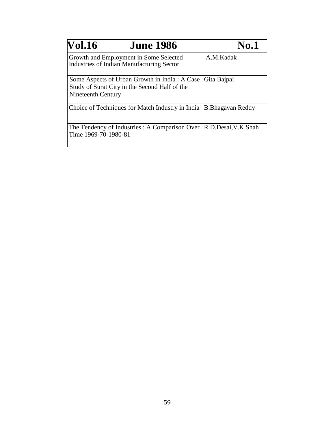| <b>Vol.16</b><br><b>June 1986</b>                                                                                    | <b>No.1</b>                                                                |
|----------------------------------------------------------------------------------------------------------------------|----------------------------------------------------------------------------|
| Growth and Employment in Some Selected<br><b>Industries of Indian Manufacturing Sector</b>                           | A.M.Kadak                                                                  |
| Some Aspects of Urban Growth in India: A Case<br>Study of Surat City in the Second Half of the<br>Nineteenth Century | Gita Bajpai                                                                |
| Choice of Techniques for Match Industry in India                                                                     | <b>B.Bhagavan Reddy</b>                                                    |
| The Tendency of Industries : A Comparison Over<br>Time 1969-70-1980-81                                               | $\mathsf{R}.\mathsf{D}.\mathsf{Desai},\mathsf{V}.\mathsf{K}.\mathsf{Shah}$ |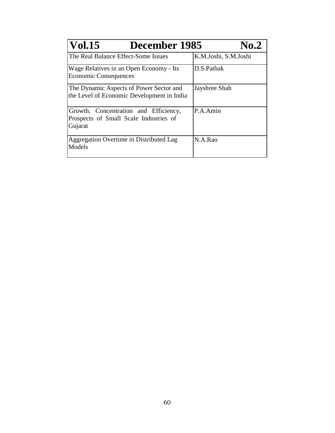| <b>Vol.15</b><br>December 1985<br><b>No.2</b>                                              |                      |
|--------------------------------------------------------------------------------------------|----------------------|
| The Real Balance Effect-Some Issues                                                        | K.M.Joshi, S.M.Joshi |
| Wage Relatives in an Open Economy - Its<br><b>Economic Consequences</b>                    | D.S.Pathak           |
| The Dynamic Aspects of Power Sector and<br>the Level of Economic Development in India      | Jayshree Shah        |
| Growth, Concentration and Efficiency,<br>Prospects of Small Scale Industries of<br>Gujarat | P.A.Amin             |
| Aggregation Overtime in Distributed Lag<br>Models                                          | N.A.Rao              |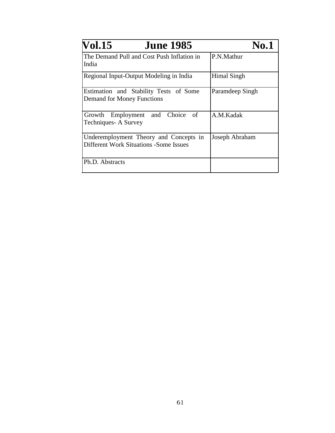| <b>Vol.15</b><br><b>June 1985</b>                                                        | <b>No.1</b>        |
|------------------------------------------------------------------------------------------|--------------------|
| The Demand Pull and Cost Push Inflation in<br>India                                      | P.N.Mathur         |
| Regional Input-Output Modeling in India                                                  | <b>Himal Singh</b> |
| Estimation and Stability Tests of Some<br><b>Demand for Money Functions</b>              | Paramdeep Singh    |
| Growth Employment and Choice of<br>Techniques- A Survey                                  | A.M.Kadak          |
| Underemployment Theory and Concepts in<br><b>Different Work Situations - Some Issues</b> | Joseph Abraham     |
| Ph.D. Abstracts                                                                          |                    |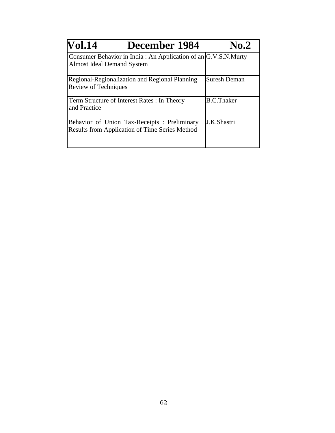| <b>Vol.14</b><br>December 1984                                                                        | No.2                |
|-------------------------------------------------------------------------------------------------------|---------------------|
| Consumer Behavior in India: An Application of an G.V.S.N.Murty<br><b>Almost Ideal Demand System</b>   |                     |
| Regional-Regionalization and Regional Planning<br><b>Review of Techniques</b>                         | <b>Suresh Deman</b> |
| Term Structure of Interest Rates: In Theory<br>and Practice                                           | <b>B.C.Thaker</b>   |
| Behavior of Union Tax-Receipts : Preliminary<br><b>Results from Application of Time Series Method</b> | J.K.Shastri         |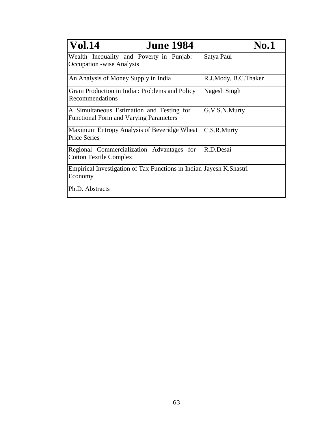| <b>Vol.14</b><br><b>June 1984</b>                                                          | <b>No.1</b>          |
|--------------------------------------------------------------------------------------------|----------------------|
| Wealth Inequality and Poverty in Punjab:<br><b>Occupation</b> -wise Analysis               | Satya Paul           |
| An Analysis of Money Supply in India                                                       | R.J.Mody, B.C.Thaker |
| Gram Production in India: Problems and Policy<br>Recommendations                           | Nagesh Singh         |
| A Simultaneous Estimation and Testing for<br><b>Functional Form and Varying Parameters</b> | G.V.S.N.Murty        |
| Maximum Entropy Analysis of Beveridge Wheat<br><b>Price Series</b>                         | C.S.R.Murty          |
| Regional Commercialization Advantages<br>for<br><b>Cotton Textile Complex</b>              | R.D.Desai            |
| Empirical Investigation of Tax Functions in Indian Jayesh K.Shastri<br>Economy             |                      |
| Ph.D. Abstracts                                                                            |                      |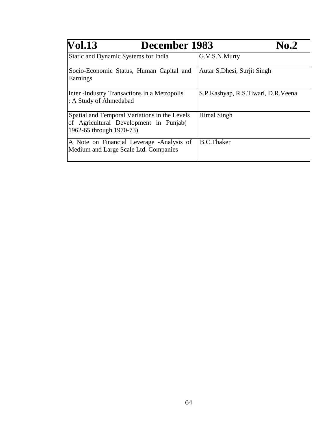| <b>Vol.13</b><br>December 1983                                                                                      | <b>No.2</b>                        |
|---------------------------------------------------------------------------------------------------------------------|------------------------------------|
| Static and Dynamic Systems for India                                                                                | G.V.S.N.Murty                      |
| Socio-Economic Status, Human Capital and<br>Earnings                                                                | Autar S. Dhesi, Surjit Singh       |
| Inter-Industry Transactions in a Metropolis<br>: A Study of Ahmedabad                                               | S.P.Kashyap, R.S.Tiwari, D.R.Veena |
| Spatial and Temporal Variations in the Levels<br>of Agricultural Development in Punjab(<br>1962-65 through 1970-73) | Himal Singh                        |
| A Note on Financial Leverage -Analysis of<br>Medium and Large Scale Ltd. Companies                                  | <b>B.C.Thaker</b>                  |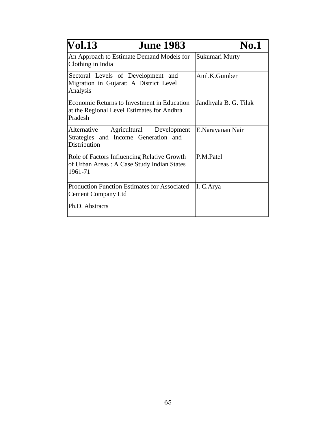| <b>June 1983</b><br><b>Vol.13</b>                                                                           | <b>No.1</b>           |
|-------------------------------------------------------------------------------------------------------------|-----------------------|
| An Approach to Estimate Demand Models for<br>Clothing in India                                              | Sukumari Murty        |
| Sectoral Levels of Development and<br>Migration in Gujarat: A District Level<br>Analysis                    | Anil.K.Gumber         |
| <b>Economic Returns to Investment in Education</b><br>at the Regional Level Estimates for Andhra<br>Pradesh | Jandhyala B. G. Tilak |
| Agricultural Development<br>Alternative<br>Strategies and Income Generation and<br>Distribution             | E.Narayanan Nair      |
| Role of Factors Influencing Relative Growth<br>of Urban Areas: A Case Study Indian States<br>1961-71        | P.M.Patel             |
| <b>Production Function Estimates for Associated</b><br><b>Cement Company Ltd</b>                            | I. C. Arya            |
| Ph.D. Abstracts                                                                                             |                       |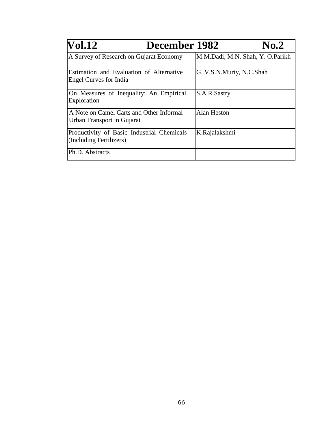| <b>Vol.12</b>                                                             | December 1982 |                                  | <b>No.2</b> |
|---------------------------------------------------------------------------|---------------|----------------------------------|-------------|
| A Survey of Research on Gujarat Economy                                   |               | M.M.Dadi, M.N. Shah, Y. O.Parikh |             |
| Estimation and Evaluation of Alternative<br><b>Engel Curves for India</b> |               | G. V.S.N.Murty, N.C.Shah         |             |
| On Measures of Inequality: An Empirical<br>Exploration                    |               | S.A.R.Sastry                     |             |
| A Note on Camel Carts and Other Informal<br>Urban Transport in Gujarat    |               | <b>Alan Heston</b>               |             |
| Productivity of Basic Industrial Chemicals<br>(Including Fertilizers)     |               | K.Rajalakshmi                    |             |
| Ph.D. Abstracts                                                           |               |                                  |             |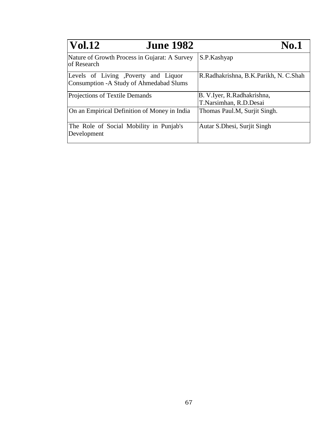| <b>Vol.12</b><br><b>June 1982</b>                                                | <b>No.1</b>                                          |
|----------------------------------------------------------------------------------|------------------------------------------------------|
| Nature of Growth Process in Gujarat: A Survey<br>lof Research                    | S.P.Kashyap                                          |
| Levels of Living ,Poverty and Liquor<br>Consumption - A Study of Ahmedabad Slums | R.Radhakrishna, B.K.Parikh, N. C.Shah                |
| Projections of Textile Demands                                                   | B. V.Iyer, R.Radhakrishna,<br>T.Narsimhan, R.D.Desai |
| On an Empirical Definition of Money in India                                     | Thomas Paul.M, Surjit Singh.                         |
| The Role of Social Mobility in Punjab's<br>Development                           | Autar S. Dhesi, Surjit Singh                         |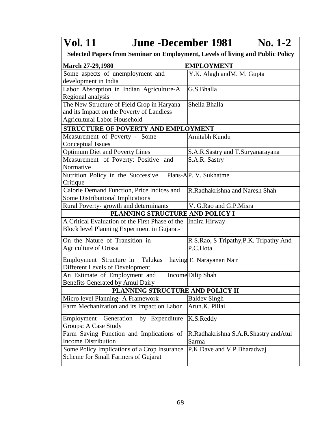## **Vol. 11 June -December 1981**  $\frac{\overline{\text{No. 1-2}}}{\text{Public Policy}}$

| Selected Papers from Seminar on Employment, Levels of living and Public Policy |  |
|--------------------------------------------------------------------------------|--|
|                                                                                |  |

| <b>March 27-29,1980</b>                         | <b>EMPLOYMENT</b>                      |  |
|-------------------------------------------------|----------------------------------------|--|
| Some aspects of unemployment and                | Y.K. Alagh and M. M. Gupta             |  |
| development in India                            |                                        |  |
| Labor Absorption in Indian Agriculture-A        | G.S.Bhalla                             |  |
| Regional analysis                               |                                        |  |
| The New Structure of Field Crop in Haryana      | Sheila Bhalla                          |  |
| and its Impact on the Poverty of Landless       |                                        |  |
| <b>Agricultural Labor Household</b>             |                                        |  |
| STRUCTURE OF POVERTY AND EMPLOYMENT             |                                        |  |
| Measurement of Poverty - Some                   | Amitabh Kundu                          |  |
| <b>Conceptual Issues</b>                        |                                        |  |
| <b>Optimum Diet and Poverty Lines</b>           | S.A.R.Sastry and T.Suryanarayana       |  |
| Measurement of Poverty: Positive and            | S.A.R. Sastry                          |  |
| Normative                                       |                                        |  |
| Nutrition Policy in the Successive              | Plans-AP. V. Sukhatme                  |  |
| Critique                                        |                                        |  |
| Calorie Demand Function, Price Indices and      | R.Radhakrishna and Naresh Shah         |  |
| Some Distributional Implications                |                                        |  |
| Rural Poverty- growth and determinants          | V. G.Rao and G.P.Misra                 |  |
| PLANNING STRUCTURE AND POLICY I                 |                                        |  |
| A Critical Evaluation of the First Phase of the | Indira Hirway                          |  |
| Block level Planning Experiment in Gujarat-     |                                        |  |
| On the Nature of Transition in                  | R S.Rao, S Tripathy, P.K. Tripathy And |  |
| Agriculture of Orissa                           | P.C.Hota                               |  |
| Employment Structure in Talukas                 | having E. Narayanan Nair               |  |
| Different Levels of Development                 |                                        |  |
| An Estimate of Employment and                   | IncomeDilip Shah                       |  |
| Benefits Generated by Amul Dairy                |                                        |  |
| PLANNING STRUCTURE AND POLICY II                |                                        |  |
| Micro level Planning- A Framework               | <b>Baldev Singh</b>                    |  |
| Farm Mechanization and its Impact on Labor      | Arun.K. Pillai                         |  |
|                                                 |                                        |  |
| Generation<br>by Expenditure<br>Employment      | K.S.Reddy                              |  |
| Groups: A Case Study                            |                                        |  |
| Farm Saving Function and Implications of        | R.Radhakrishna S.A.R.Shastry and Atul  |  |
| <b>Income Distribution</b>                      | Sarma                                  |  |
| Some Policy Implications of a Crop Insurance    | P.K.Dave and V.P.Bharadwaj             |  |
| Scheme for Small Farmers of Gujarat             |                                        |  |
|                                                 |                                        |  |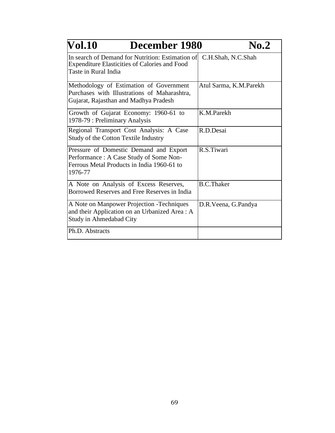| <b>Vol.10</b><br>December 1980                                                                                                             | $\bf{No.2}$            |
|--------------------------------------------------------------------------------------------------------------------------------------------|------------------------|
| In search of Demand for Nutrition: Estimation of<br>Expenditure Elasticities of Calories and Food<br>Taste in Rural India                  | C.H.Shah, N.C.Shah     |
| Methodology of Estimation of Government<br>Purchases with Illustrations of Maharashtra,<br>Gujarat, Rajasthan and Madhya Pradesh           | Atul Sarma, K.M.Parekh |
| Growth of Gujarat Economy: 1960-61 to<br>1978-79 : Preliminary Analysis                                                                    | K.M.Parekh             |
| Regional Transport Cost Analysis: A Case<br><b>Study of the Cotton Textile Industry</b>                                                    | R.D.Desai              |
| Pressure of Domestic Demand and Export<br>Performance : A Case Study of Some Non-<br>Ferrous Metal Products in India 1960-61 to<br>1976-77 | R.S.Tiwari             |
| A Note on Analysis of Excess Reserves,<br>Borrowed Reserves and Free Reserves in India                                                     | <b>B.C.Thaker</b>      |
| A Note on Manpower Projection -Techniques<br>and their Application on an Urbanized Area : A<br>Study in Ahmedabad City                     | D.R.Veena, G.Pandya    |
| Ph.D. Abstracts                                                                                                                            |                        |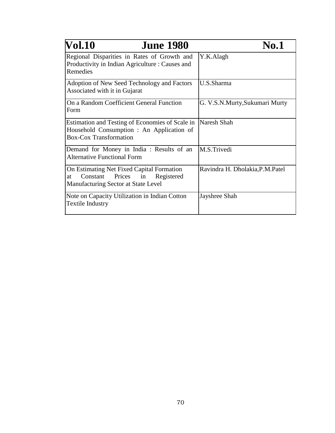| <b>Vol.10</b><br><b>June 1980</b>                                                                                                | <b>No.1</b>                      |
|----------------------------------------------------------------------------------------------------------------------------------|----------------------------------|
| Regional Disparities in Rates of Growth and<br>Productivity in Indian Agriculture : Causes and<br>Remedies                       | Y.K.Alagh                        |
| Adoption of New Seed Technology and Factors<br>Associated with it in Gujarat                                                     | U.S.Sharma                       |
| On a Random Coefficient General Function<br>Form                                                                                 | G. V.S.N.Murty, Sukumari Murty   |
| Estimation and Testing of Economies of Scale in<br>Household Consumption: An Application of<br><b>Box-Cox Transformation</b>     | Naresh Shah                      |
| Demand for Money in India : Results of an<br><b>Alternative Functional Form</b>                                                  | M.S.Trivedi                      |
| On Estimating Net Fixed Capital Formation<br>Prices<br>Constant<br>Registered<br>in<br>at<br>Manufacturing Sector at State Level | Ravindra H. Dholakia, P.M. Patel |
| Note on Capacity Utilization in Indian Cotton<br><b>Textile Industry</b>                                                         | Jayshree Shah                    |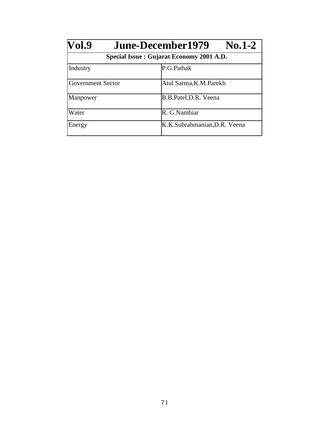| Vol.9                    | $\bf{No.1-2}$<br>June-December1979       |  |  |
|--------------------------|------------------------------------------|--|--|
|                          | Special Issue: Gujarat Economy 2001 A.D. |  |  |
| Industry                 | P.G.Pathak                               |  |  |
| <b>Government Sector</b> | Atul Sarma, K.M. Parekh                  |  |  |
| Manpower                 | B.B.Patel, D.R. Veena                    |  |  |
| Water                    | R. G.Nambiar                             |  |  |
| Energy                   | K.K.Subrahmanian, D.R. Veena             |  |  |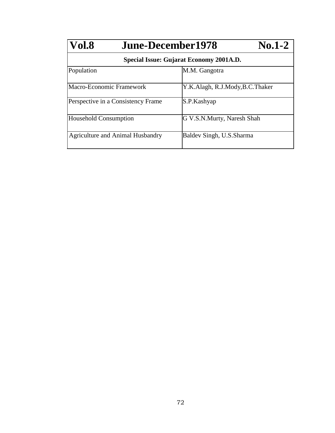| Vol.8<br><b>June-December1978</b>       | $No.1-2$                        |
|-----------------------------------------|---------------------------------|
| Special Issue: Gujarat Economy 2001A.D. |                                 |
| Population                              | M.M. Gangotra                   |
| Macro-Economic Framework                | Y.K.Alagh, R.J.Mody, B.C.Thaker |
| Perspective in a Consistency Frame      | S.P.Kashyap                     |
| <b>Household Consumption</b>            | G V.S.N.Murty, Naresh Shah      |
| <b>Agriculture and Animal Husbandry</b> | Baldev Singh, U.S. Sharma       |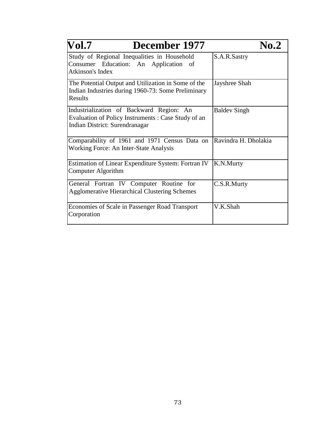| Vol.7<br>December 1977                                                                                                           | No.2                 |
|----------------------------------------------------------------------------------------------------------------------------------|----------------------|
| Study of Regional Inequalities in Household<br>Consumer Education: An Application of<br>Atkinson's Index                         | S.A.R.Sastry         |
| The Potential Output and Utilization in Some of the<br>Indian Industries during 1960-73: Some Preliminary<br>Results             | Jayshree Shah        |
| Industrialization of Backward Region: An<br>Evaluation of Policy Instruments: Case Study of an<br>Indian District: Surendranagar | <b>Baldev Singh</b>  |
| Comparability of 1961 and 1971 Census Data on<br>Working Force: An Inter-State Analysis                                          | Ravindra H. Dholakia |
| Estimation of Linear Expenditure System: Fortran IV<br><b>Computer Algorithm</b>                                                 | K.N.Murty            |
| General Fortran IV Computer Routine for<br><b>Agglomerative Hierarchical Clustering Schemes</b>                                  | C.S.R.Murty          |
| Economies of Scale in Passenger Road Transport<br>Corporation                                                                    | V.K.Shah             |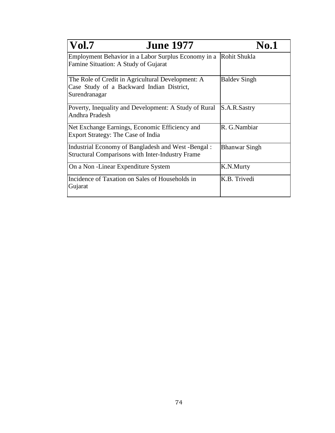| <b>Vol.7</b>                                                                                                    | <b>June 1977</b> | <b>No.1</b>          |
|-----------------------------------------------------------------------------------------------------------------|------------------|----------------------|
| Employment Behavior in a Labor Surplus Economy in a<br>Famine Situation: A Study of Gujarat                     |                  | Rohit Shukla         |
| The Role of Credit in Agricultural Development: A<br>Case Study of a Backward Indian District,<br>Surendranagar |                  | <b>Baldev Singh</b>  |
| Poverty, Inequality and Development: A Study of Rural<br>Andhra Pradesh                                         |                  | S.A.R.Sastry         |
| Net Exchange Earnings, Economic Efficiency and<br>Export Strategy: The Case of India                            |                  | R. G.Nambiar         |
| Industrial Economy of Bangladesh and West -Bengal:<br><b>Structural Comparisons with Inter-Industry Frame</b>   |                  | <b>Bhanwar Singh</b> |
| On a Non - Linear Expenditure System                                                                            |                  | K.N.Murty            |
| Incidence of Taxation on Sales of Households in<br>Gujarat                                                      |                  | K.B. Trivedi         |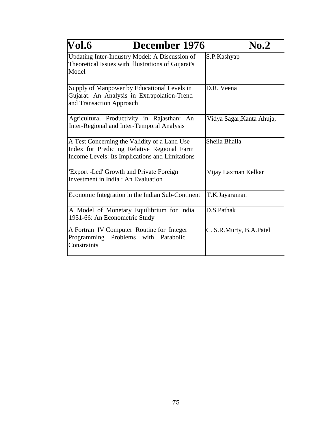| Vol.6<br>December 1976                                                                                                                         | $\bf{No.2}$               |
|------------------------------------------------------------------------------------------------------------------------------------------------|---------------------------|
| Updating Inter-Industry Model: A Discussion of<br>Theoretical Issues with Illustrations of Gujarat's<br>Model                                  | S.P.Kashyap               |
| Supply of Manpower by Educational Levels in<br>Gujarat: An Analysis in Extrapolation-Trend<br>and Transaction Approach                         | D.R. Veena                |
| Agricultural Productivity in Rajasthan: An<br>Inter-Regional and Inter-Temporal Analysis                                                       | Vidya Sagar, Kanta Ahuja, |
| A Test Concerning the Validity of a Land Use<br>Index for Predicting Relative Regional Farm<br>Income Levels: Its Implications and Limitations | Sheila Bhalla             |
| 'Export -Led' Growth and Private Foreign<br>Investment in India: An Evaluation                                                                 | Vijay Laxman Kelkar       |
| Economic Integration in the Indian Sub-Continent                                                                                               | T.K.Jayaraman             |
| A Model of Monetary Equilibrium for India<br>1951-66: An Econometric Study                                                                     | D.S.Pathak                |
| A Fortran IV Computer Routine for Integer<br>Programming Problems<br>with<br>Parabolic<br>Constraints                                          | C. S.R.Murty, B.A.Patel   |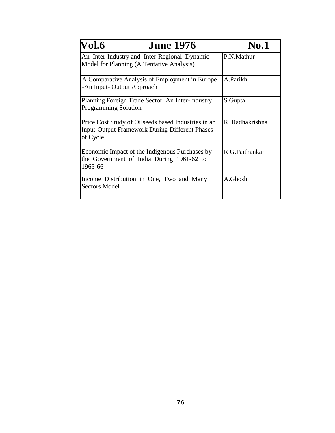| Vol.6<br><b>June 1976</b>                                                                                                | <b>No.1</b>     |
|--------------------------------------------------------------------------------------------------------------------------|-----------------|
| An Inter-Industry and Inter-Regional Dynamic<br>Model for Planning (A Tentative Analysis)                                | P.N.Mathur      |
| A Comparative Analysis of Employment in Europe<br>-An Input- Output Approach                                             | A.Parikh        |
| Planning Foreign Trade Sector: An Inter-Industry<br><b>Programming Solution</b>                                          | S.Gupta         |
| Price Cost Study of Oilseeds based Industries in an<br><b>Input-Output Framework During Different Phases</b><br>of Cycle | R. Radhakrishna |
| Economic Impact of the Indigenous Purchases by<br>the Government of India During 1961-62 to<br>1965-66                   | R G.Paithankar  |
| Income Distribution in One, Two and Many<br><b>Sectors Model</b>                                                         | A.Ghosh         |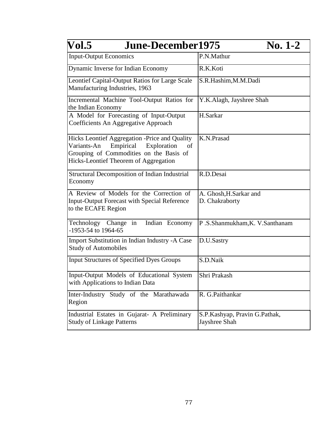| Vol.5<br><b>June-December1975</b>                                                                                                                                                  | $\bf{No. 1-2}$                                 |
|------------------------------------------------------------------------------------------------------------------------------------------------------------------------------------|------------------------------------------------|
| <b>Input-Output Economics</b>                                                                                                                                                      | P.N.Mathur                                     |
| Dynamic Inverse for Indian Economy                                                                                                                                                 | R.K.Koti                                       |
| Leontief Capital-Output Ratios for Large Scale<br>Manufacturing Industries, 1963                                                                                                   | S.R.Hashim,M.M.Dadi                            |
| Incremental Machine Tool-Output Ratios for<br>the Indian Economy                                                                                                                   | Y.K.Alagh, Jayshree Shah                       |
| A Model for Forecasting of Input-Output<br>Coefficients An Aggregative Approach                                                                                                    | H.Sarkar                                       |
| Hicks Leontief Aggregation -Price and Quality<br>Variants-An<br>Empirical<br>Exploration<br>of<br>Grouping of Commodities on the Basis of<br>Hicks-Leontief Theorem of Aggregation | K.N.Prasad                                     |
| Structural Decomposition of Indian Industrial<br>Economy                                                                                                                           | R.D.Desai                                      |
| A Review of Models for the Correction of<br><b>Input-Output Forecast with Special Reference</b><br>to the ECAFE Region                                                             | A. Ghosh, H. Sarkar and<br>D. Chakraborty      |
| Indian Economy<br>Technology Change in<br>-1953-54 to 1964-65                                                                                                                      | P.S.Shanmukham, K. V.Santhanam                 |
| Import Substitution in Indian Industry -A Case<br><b>Study of Automobiles</b>                                                                                                      | D.U.Sastry                                     |
| <b>Input Structures of Specified Dyes Groups</b>                                                                                                                                   | S.D.Naik                                       |
| Input-Output Models of Educational System<br>with Applications to Indian Data                                                                                                      | Shri Prakash                                   |
| Inter-Industry Study of the Marathawada<br>Region                                                                                                                                  | R. G.Paithankar                                |
| Industrial Estates in Gujarat- A Preliminary<br><b>Study of Linkage Patterns</b>                                                                                                   | S.P.Kashyap, Pravin G.Pathak,<br>Jayshree Shah |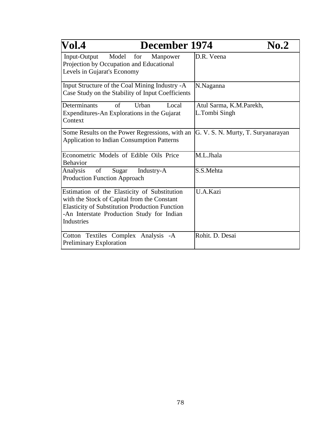| Vol.4<br>December 1974                                                                                                                                                                                           | No.2                                     |
|------------------------------------------------------------------------------------------------------------------------------------------------------------------------------------------------------------------|------------------------------------------|
| Input-Output<br>Model for<br>Manpower<br>Projection by Occupation and Educational<br>Levels in Gujarat's Economy                                                                                                 | D.R. Veena                               |
| Input Structure of the Coal Mining Industry -A<br>Case Study on the Stability of Input Coefficients                                                                                                              | N.Naganna                                |
| Determinants<br>of<br>Urban<br>Local<br>Expenditures-An Explorations in the Gujarat<br>Context                                                                                                                   | Atul Sarma, K.M.Parekh,<br>L.Tombi Singh |
| Some Results on the Power Regressions, with an<br><b>Application to Indian Consumption Patterns</b>                                                                                                              | G. V. S. N. Murty, T. Suryanarayan       |
| Econometric Models of Edible Oils Price<br><b>Behavior</b>                                                                                                                                                       | M.L.Jhala                                |
| of<br>Analysis<br>Sugar<br>Industry-A<br><b>Production Function Approach</b>                                                                                                                                     | S.S.Mehta                                |
| Estimation of the Elasticity of Substitution<br>with the Stock of Capital from the Constant<br><b>Elasticity of Substitution Production Function</b><br>-An Interstate Production Study for Indian<br>Industries | U.A.Kazi                                 |
| Cotton Textiles Complex Analysis -A<br>Preliminary Exploration                                                                                                                                                   | Rohit. D. Desai                          |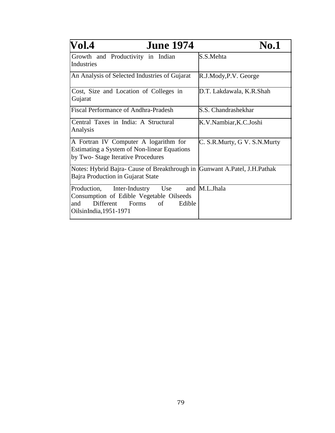| Vol.4<br><b>June 1974</b>                                                                                                                            | <b>No.1</b>                  |
|------------------------------------------------------------------------------------------------------------------------------------------------------|------------------------------|
| Growth and Productivity in Indian<br>Industries                                                                                                      | S.S.Mehta                    |
| An Analysis of Selected Industries of Gujarat                                                                                                        | R.J.Mody, P.V. George        |
| Cost, Size and Location of Colleges in<br>Gujarat                                                                                                    | D.T. Lakdawala, K.R.Shah     |
| <b>Fiscal Performance of Andhra-Pradesh</b>                                                                                                          | S.S. Chandrashekhar          |
| Central Taxes in India: A Structural<br>Analysis                                                                                                     | K.V.Nambiar, K.C.Joshi       |
| A Fortran IV Computer A logarithm for<br><b>Estimating a System of Non-linear Equations</b><br>by Two-Stage Iterative Procedures                     | C. S.R.Murty, G V. S.N.Murty |
| Notes: Hybrid Bajra- Cause of Breakthrough in Gunwant A.Patel, J.H.Pathak<br>Bajra Production in Gujarat State                                       |                              |
| Production, Inter-Industry<br>Use<br>Consumption of Edible Vegetable Oilseeds<br>Different<br>of<br>Forms<br>Edible<br>and<br>OilsinIndia, 1951-1971 | and M.L.Jhala                |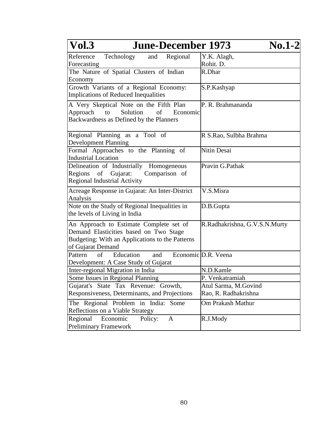| <b>Vol.3</b><br><b>June-December 1973</b>                                                                                                                 | $\bf{No.1-2}$                 |
|-----------------------------------------------------------------------------------------------------------------------------------------------------------|-------------------------------|
| and Regional<br>Reference<br>Technology                                                                                                                   | Y.K. Alagh,                   |
| Forecasting                                                                                                                                               | Rohit. D.                     |
| The Nature of Spatial Clusters of Indian                                                                                                                  | R.Dhar                        |
| Economy                                                                                                                                                   |                               |
| Growth Variants of a Regional Economy:<br><b>Implications of Reduced Inequalities</b>                                                                     | S.P.Kashyap                   |
| A Very Skeptical Note on the Fifth Plan<br>Solution<br>Approach to<br>of<br>Economic<br>Backwardness as Defined by the Planners                           | P. R. Brahmananda             |
| Regional Planning as a Tool of<br><b>Development Planning</b>                                                                                             | R S.Rao, Sulbha Brahma        |
| Formal Approaches to the Planning of<br><b>Industrial Location</b>                                                                                        | Nitin Desai                   |
| Delineation of Industrially Homogeneous<br>Regions<br>Gujarat:<br>Comparison of<br>of<br><b>Regional Industrial Activity</b>                              | Pravin G.Pathak               |
| Acreage Response in Gujarat: An Inter-District<br>Analysis                                                                                                | V.S.Misra                     |
| Note on the Study of Regional Inequalities in<br>the levels of Living in India                                                                            | D.B.Gupta                     |
| An Approach to Estimate Complete set of<br>Demand Elasticities based on Two Stage<br>Budgeting: With an Applications to the Patterns<br>of Gujarat Demand | R.Radhakrishna, G.V.S.N.Murty |
| of<br>Pattern<br>Education<br>and<br>Development: A Case Study of Gujarat                                                                                 | Economic D.R. Veena           |
| Inter-regional Migration in India                                                                                                                         | N.D.Kamle                     |
| Some Issues in Regional Planning                                                                                                                          | P. Venkatramiah               |
| Gujarat's State Tax Revenue: Growth,                                                                                                                      | Atul Sarma, M.Govind          |
| Responsiveness, Determinants, and Projections                                                                                                             | Rao, R. Radhakrishna          |
| The Regional Problem in India: Some<br>Reflections on a Viable Strategy                                                                                   | Om Prakash Mathur             |
| Regional<br>Economic<br>Policy:<br>$\mathbf{A}$<br><b>Preliminary Framework</b>                                                                           | R.J.Mody                      |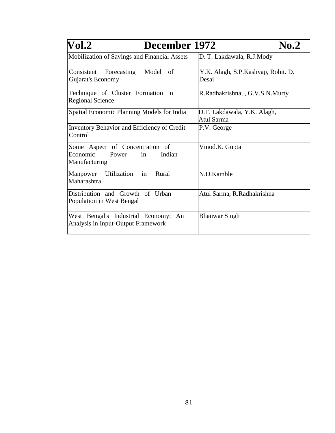| $\bf Vol.2$<br>December 1972                                                          | No.2                                        |
|---------------------------------------------------------------------------------------|---------------------------------------------|
| Mobilization of Savings and Financial Assets                                          | D. T. Lakdawala, R.J.Mody                   |
| Consistent Forecasting Model of<br>Gujarat's Economy                                  | Y.K. Alagh, S.P.Kashyap, Rohit. D.<br>Desai |
| Technique of Cluster Formation in<br><b>Regional Science</b>                          | R.Radhakrishna, , G.V.S.N.Murty             |
| Spatial Economic Planning Models for India                                            | D.T. Lakdawala, Y.K. Alagh,<br>Atul Sarma   |
| Inventory Behavior and Efficiency of Credit<br>Control                                | P.V. George                                 |
| Some Aspect of Concentration of<br>Economic<br>Power<br>Indian<br>in<br>Manufacturing | Vinod.K. Gupta                              |
| in<br>Manpower Utilization<br>Rural<br>Maharashtra                                    | N.D.Kamble                                  |
| Distribution and Growth of Urban<br>Population in West Bengal                         | Atul Sarma, R.Radhakrishna                  |
| West Bengal's Industrial Economy:<br>An<br>Analysis in Input-Output Framework         | <b>Bhanwar Singh</b>                        |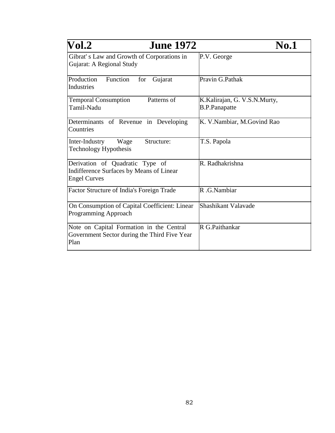| $\bf Vol.2$<br><b>June 1972</b>                                                                    | <b>No.1</b>                                          |
|----------------------------------------------------------------------------------------------------|------------------------------------------------------|
| Gibrat's Law and Growth of Corporations in<br>Gujarat: A Regional Study                            | P.V. George                                          |
| Production<br>Function<br>for<br>Gujarat<br>Industries                                             | Pravin G.Pathak                                      |
| Patterns of<br><b>Temporal Consumption</b><br>Tamil-Nadu                                           | K.Kalirajan, G. V.S.N.Murty,<br><b>B.P.Panapatte</b> |
| Determinants of Revenue in Developing<br>Countries                                                 | K. V.Nambiar, M.Govind Rao                           |
| Structure:<br>Inter-Industry<br>Wage<br><b>Technology Hypothesis</b>                               | T.S. Papola                                          |
| Derivation of Quadratic Type of<br>Indifference Surfaces by Means of Linear<br><b>Engel Curves</b> | R. Radhakrishna                                      |
| Factor Structure of India's Foreign Trade                                                          | R .G.Nambiar                                         |
| On Consumption of Capital Coefficient: Linear<br>Programming Approach                              | Shashikant Valavade                                  |
| Note on Capital Formation in the Central<br>Government Sector during the Third Five Year<br>Plan   | R G.Paithankar                                       |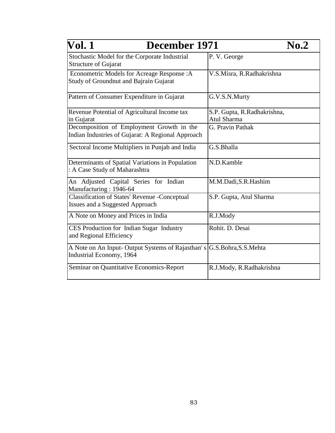| Vol. 1<br>December 1971                                                                           |                                            | No.2 |
|---------------------------------------------------------------------------------------------------|--------------------------------------------|------|
| Stochastic Model for the Corporate Industrial<br><b>Structure of Gujarat</b>                      | P.V. George                                |      |
| Econometric Models for Acreage Response: A<br>Study of Groundnut and Bajrain Gujarat              | V.S.Misra, R.Radhakrishna                  |      |
| Pattern of Consumer Expenditure in Gujarat                                                        | G.V.S.N.Murty                              |      |
| Revenue Potential of Agricultural Income tax<br>in Gujarat                                        | S.P. Gupta, R.Radhakrishna,<br>Atul Sharma |      |
| Decomposition of Employment Growth in the<br>Indian Industries of Gujarat: A Regional Approach    | G. Pravin Pathak                           |      |
| Sectoral Income Multipliers in Punjab and India                                                   | G.S.Bhalla                                 |      |
| Determinants of Spatial Variations in Population<br>: A Case Study of Maharashtra                 | N.D.Kamble                                 |      |
| An Adjusted Capital Series for Indian<br>Manufacturing: 1946-64                                   | M.M.Dadi, S.R. Hashim                      |      |
| <b>Classification of States' Revenue -Conceptual</b><br>Issues and a Suggested Approach           | S.P. Gupta, Atul Sharma                    |      |
| A Note on Money and Prices in India                                                               | R.J.Mody                                   |      |
| CES Production for Indian Sugar Industry<br>and Regional Efficiency                               | Rohit. D. Desai                            |      |
| A Note on An Input-Output Systems of Rajasthan's G.S.Bohra, S.S.Mehta<br>Industrial Economy, 1964 |                                            |      |
| Seminar on Quantitative Economics-Report                                                          | R.J.Mody, R.Radhakrishna                   |      |